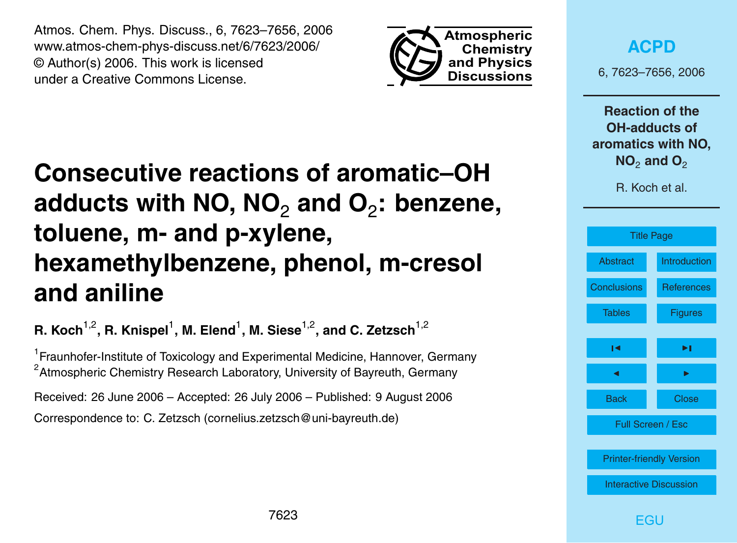<span id="page-0-0"></span>Atmos. Chem. Phys. Discuss., 6, 7623–7656, 2006 www.atmos-chem-phys-discuss.net/6/7623/2006/ © Author(s) 2006. This work is licensed under a Creative Commons License.



**[ACPD](http://www.atmos-chem-phys-discuss.net)**

6, 7623–7656, 2006

**Reaction of the OH-adducts of aromatics with NO, NO<sub>2</sub> and O<sub>2</sub>** 

R. Koch et al.



7623

# **Consecutive reactions of aromatic–OH** adducts with NO, NO<sub>2</sub> and O<sub>2</sub>: benzene, **toluene, m- and p-xylene, hexamethylbenzene, phenol, m-cresol and aniline**

**R. Koch**1,2**, R. Knispel**<sup>1</sup> **, M. Elend**<sup>1</sup> **, M. Siese**1,2**, and C. Zetzsch**1,2

<sup>1</sup> Fraunhofer-Institute of Toxicology and Experimental Medicine, Hannover, Germany <sup>2</sup> Atmospheric Chemistry Research Laboratory, University of Bayreuth, Germany

Received: 26 June 2006 – Accepted: 26 July 2006 – Published: 9 August 2006 Correspondence to: C. Zetzsch (cornelius.zetzsch@uni-bayreuth.de)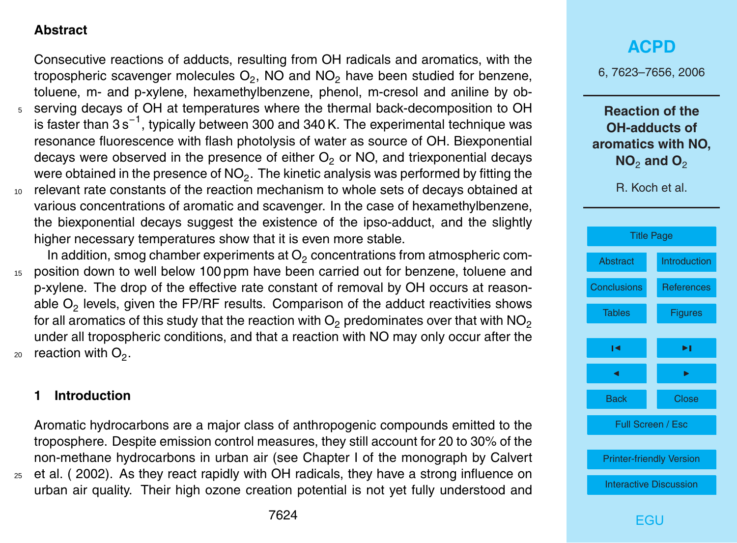#### <span id="page-1-0"></span>**Abstract**

Consecutive reactions of adducts, resulting from OH radicals and aromatics, with the tropospheric scavenger molecules  $\mathsf{O}_2,$  NO and NO<sub>2</sub> have been studied for benzene, toluene, m- and p-xylene, hexamethylbenzene, phenol, m-cresol and aniline by ob-<sup>5</sup> serving decays of OH at temperatures where the thermal back-decomposition to OH is faster than 3s<sup>-1</sup>, typically between 300 and 340 K. The experimental technique was resonance fluorescence with flash photolysis of water as source of OH. Biexponential decays were observed in the presence of either  $O<sub>2</sub>$  or NO, and triexponential decays were obtained in the presence of NO $_2.$  The kinetic analysis was performed by fitting the <sup>10</sup> relevant rate constants of the reaction mechanism to whole sets of decays obtained at various concentrations of aromatic and scavenger. In the case of hexamethylbenzene, the biexponential decays suggest the existence of the ipso-adduct, and the slightly higher necessary temperatures show that it is even more stable.

In addition, smog chamber experiments at  $\mathrm{O}_2$  concentrations from atmospheric com-<sup>15</sup> position down to well below 100 ppm have been carried out for benzene, toluene and p-xylene. The drop of the effective rate constant of removal by OH occurs at reasonable  $\mathsf{O}_2$  levels, given the FP/RF results. Comparison of the adduct reactivities shows for all aromatics of this study that the reaction with  $O<sub>2</sub>$  predominates over that with NO<sub>2</sub> under all tropospheric conditions, and that a reaction with NO may only occur after the  $_{20}$  reaction with  $\mathrm{O}_2.$ 

#### **1 Introduction**

Aromatic hydrocarbons are a major class of anthropogenic compounds emitted to the troposphere. Despite emission control measures, they still account for 20 to 30% of the non-methane hydrocarbons in urban air (see Chapter I of the monograph by Calvert <sup>25</sup> et al. ( 2002). As they react rapidly with OH radicals, they have a strong influence on urban air quality. Their high ozone creation potential is not yet fully understood and

### **[ACPD](http://www.atmos-chem-phys-discuss.net)**

6, 7623–7656, 2006

**Reaction of the OH-adducts of aromatics with NO, NO<sub>2</sub> and O<sub>2</sub>** 

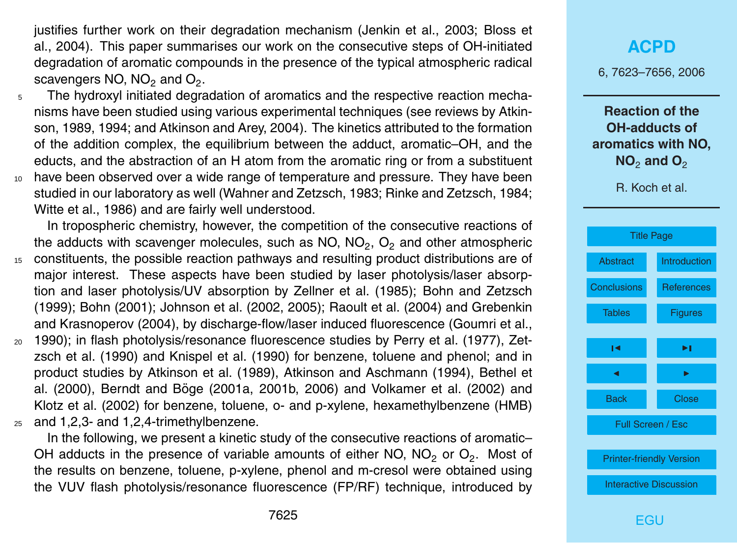justifies further work on their degradation mechanism (Jenkin et al., 2003; Bloss et al., 2004). This paper summarises our work on the consecutive steps of OH-initiated degradation of aromatic compounds in the presence of the typical atmospheric radical scavengers NO, NO $_2$  and O $_2$ .

<sup>5</sup> The hydroxyl initiated degradation of aromatics and the respective reaction mechanisms have been studied using various experimental techniques (see reviews by Atkinson, 1989, 1994; and Atkinson and Arey, 2004). The kinetics attributed to the formation of the addition complex, the equilibrium between the adduct, aromatic–OH, and the educts, and the abstraction of an H atom from the aromatic ring or from a substituent <sup>10</sup> have been observed over a wide range of temperature and pressure. They have been studied in our laboratory as well (Wahner and Zetzsch, 1983; Rinke and Zetzsch, 1984; Witte et al., 1986) and are fairly well understood.

In tropospheric chemistry, however, the competition of the consecutive reactions of the adducts with scavenger molecules, such as NO, NO<sub>2</sub>, O<sub>2</sub> and other atmospheric

- <sup>15</sup> constituents, the possible reaction pathways and resulting product distributions are of major interest. These aspects have been studied by laser photolysis/laser absorption and laser photolysis/UV absorption by Zellner et al. (1985); Bohn and Zetzsch (1999); Bohn (2001); Johnson et al. (2002, 2005); Raoult et al. (2004) and Grebenkin and Krasnoperov (2004), by discharge-flow/laser induced fluorescence (Goumri et al.,
- <sup>20</sup> 1990); in flash photolysis/resonance fluorescence studies by Perry et al. (1977), Zetzsch et al. (1990) and Knispel et al. (1990) for benzene, toluene and phenol; and in product studies by Atkinson et al. (1989), Atkinson and Aschmann (1994), Bethel et al. (2000), Berndt and Boge (2001a, 2001b, 2006) and Volkamer et al. (2002) and ¨ Klotz et al. (2002) for benzene, toluene, o- and p-xylene, hexamethylbenzene (HMB)  $25$  and 1,2,3- and 1,2,4-trimethylbenzene.

In the following, we present a kinetic study of the consecutive reactions of aromatic– OH adducts in the presence of variable amounts of either NO, NO<sub>2</sub> or O<sub>2</sub>. Most of the results on benzene, toluene, p-xylene, phenol and m-cresol were obtained using the VUV flash photolysis/resonance fluorescence (FP/RF) technique, introduced by

# **[ACPD](http://www.atmos-chem-phys-discuss.net)** 6, 7623–7656, 2006 **Reaction of the OH-adducts of aromatics with NO, NO<sub>2</sub> and O<sub>2</sub>** R. Koch et al. [Title Page](#page-0-0)



**FGU**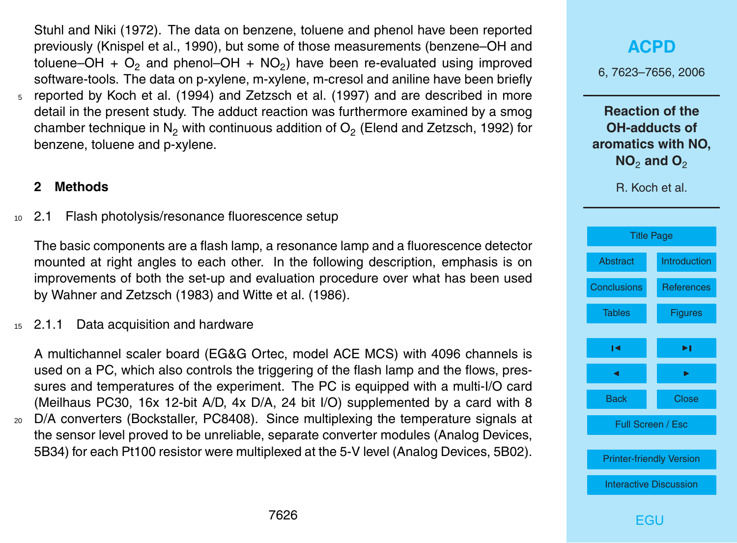Stuhl and Niki (1972). The data on benzene, toluene and phenol have been reported previously (Knispel et al., 1990), but some of those measurements (benzene–OH and toluene–OH +  $\textsf{O}_2$  and phenol–OH + NO<sub>2</sub>) have been re-evaluated using improved software-tools. The data on p-xylene, m-xylene, m-cresol and aniline have been briefly <sup>5</sup> reported by Koch et al. (1994) and Zetzsch et al. (1997) and are described in more detail in the present study. The adduct reaction was furthermore examined by a smog chamber technique in  $\mathsf{N}_2$  with continuous addition of  $\mathsf{O}_2$  (Elend and Zetzsch, 1992) for benzene, toluene and p-xylene.

#### **2 Methods**

<sup>10</sup> 2.1 Flash photolysis/resonance fluorescence setup

The basic components are a flash lamp, a resonance lamp and a fluorescence detector mounted at right angles to each other. In the following description, emphasis is on improvements of both the set-up and evaluation procedure over what has been used by Wahner and Zetzsch (1983) and Witte et al. (1986).

<sup>15</sup> 2.1.1 Data acquisition and hardware

A multichannel scaler board (EG&G Ortec, model ACE MCS) with 4096 channels is used on a PC, which also controls the triggering of the flash lamp and the flows, pressures and temperatures of the experiment. The PC is equipped with a multi-I/O card (Meilhaus PC30, 16x 12-bit A/D, 4x D/A, 24 bit I/O) supplemented by a card with 8

<sup>20</sup> D/A converters (Bockstaller, PC8408). Since multiplexing the temperature signals at the sensor level proved to be unreliable, separate converter modules (Analog Devices, 5B34) for each Pt100 resistor were multiplexed at the 5-V level (Analog Devices, 5B02).

# **[ACPD](http://www.atmos-chem-phys-discuss.net)** 6, 7623–7656, 2006 **Reaction of the OH-adducts of aromatics with NO, NO<sub>2</sub> and O<sub>2</sub>** R. Koch et al. [Title Page](#page-0-0) [Abstract](#page-1-0) [Introduction](#page-1-0) [Conclusions](#page-15-0) [References](#page-22-0) [Tables](#page-27-0) [Figures](#page-29-0)  $\sim$  J  $\sim$ J I Back Close Full Screen / Esc [Printer-friendly Version](http://www.atmos-chem-phys-discuss.net/6/7623/2006/acpd-6-7623-2006-print.pdf) [Interactive Discussion](http://www.atmos-chem-phys-discuss.net/6/7623/2006/acpd-6-7623-2006-discussion.html)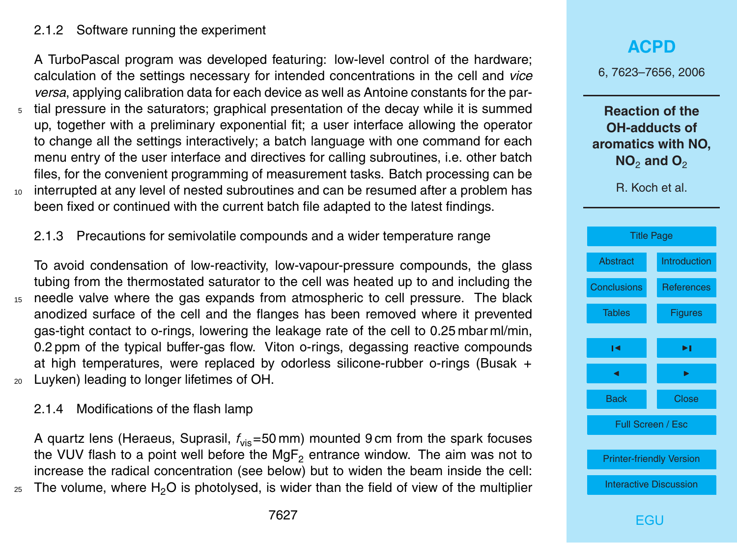#### 2.1.2 Software running the experiment

A TurboPascal program was developed featuring: low-level control of the hardware; calculation of the settings necessary for intended concentrations in the cell and *vice versa*, applying calibration data for each device as well as Antoine constants for the par-

tial pressure in the saturators; graphical presentation of the decay while it is summed up, together with a preliminary exponential fit; a user interface allowing the operator to change all the settings interactively; a batch language with one command for each menu entry of the user interface and directives for calling subroutines, i.e. other batch files, for the convenient programming of measurement tasks. Batch processing can be 10 interrupted at any level of nested subroutines and can be resumed after a problem has been fixed or continued with the current batch file adapted to the latest findings.

#### 2.1.3 Precautions for semivolatile compounds and a wider temperature range

To avoid condensation of low-reactivity, low-vapour-pressure compounds, the glass tubing from the thermostated saturator to the cell was heated up to and including the <sup>15</sup> needle valve where the gas expands from atmospheric to cell pressure. The black anodized surface of the cell and the flanges has been removed where it prevented gas-tight contact to o-rings, lowering the leakage rate of the cell to 0.25 mbar ml/min, 0.2 ppm of the typical buffer-gas flow. Viton o-rings, degassing reactive compounds at high temperatures, were replaced by odorless silicone-rubber o-rings (Busak + <sup>20</sup> Luyken) leading to longer lifetimes of OH.

#### 2.1.4 Modifications of the flash lamp

A quartz lens (Heraeus, Suprasil, *f*vis=50 mm) mounted 9 cm from the spark focuses the VUV flash to a point well before the  $MgF<sub>2</sub>$  entrance window. The aim was not to increase the radical concentration (see below) but to widen the beam inside the cell:  $_{25}$  The volume, where H<sub>2</sub>O is photolysed, is wider than the field of view of the multiplier

# **[ACPD](http://www.atmos-chem-phys-discuss.net)** 6, 7623–7656, 2006 **Reaction of the OH-adducts of aromatics with NO, NO<sub>2</sub> and O<sub>2</sub>** R. Koch et al. [Title Page](#page-0-0) [Abstract](#page-1-0) [Introduction](#page-1-0) [Conclusions](#page-15-0) [References](#page-22-0) [Tables](#page-27-0) [Figures](#page-29-0)  $\sim$  J  $\sim$ J I Back Close Full Screen / Esc [Printer-friendly Version](http://www.atmos-chem-phys-discuss.net/6/7623/2006/acpd-6-7623-2006-print.pdf) [Interactive Discussion](http://www.atmos-chem-phys-discuss.net/6/7623/2006/acpd-6-7623-2006-discussion.html)

**FGU**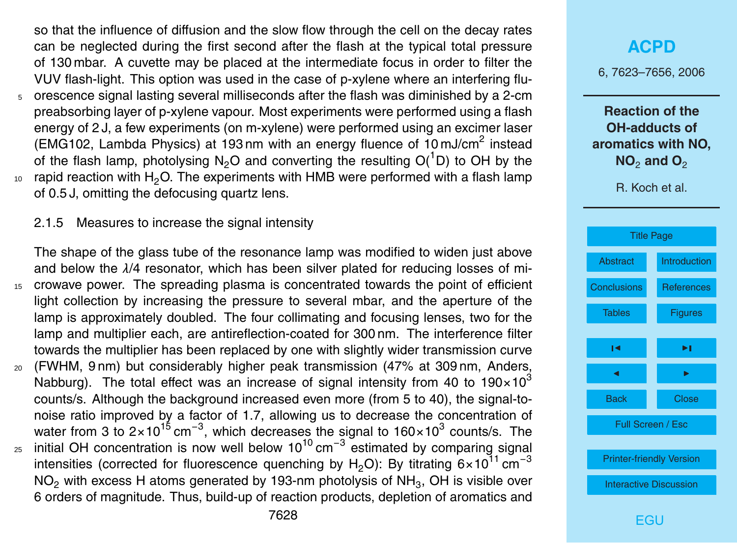so that the influence of diffusion and the slow flow through the cell on the decay rates can be neglected during the first second after the flash at the typical total pressure of 130 mbar. A cuvette may be placed at the intermediate focus in order to filter the VUV flash-light. This option was used in the case of p-xylene where an interfering flu-<sup>5</sup> orescence signal lasting several milliseconds after the flash was diminished by a 2-cm preabsorbing layer of p-xylene vapour. Most experiments were performed using a flash energy of 2 J, a few experiments (on m-xylene) were performed using an excimer laser (EMG102, Lambda Physics) at 193 nm with an energy fluence of  $10 \text{ mJ/cm}^2$  instead of the flash lamp, photolysing N<sub>2</sub>O and converting the resulting  $O(^{1}D)$  to OH by the  $10<sub>10</sub>$  rapid reaction with H<sub>2</sub>O. The experiments with HMB were performed with a flash lamp of 0.5 J, omitting the defocusing quartz lens.

2.1.5 Measures to increase the signal intensity

The shape of the glass tube of the resonance lamp was modified to widen just above and below the *λ*/4 resonator, which has been silver plated for reducing losses of mi-<sup>15</sup> crowave power. The spreading plasma is concentrated towards the point of efficient light collection by increasing the pressure to several mbar, and the aperture of the lamp is approximately doubled. The four collimating and focusing lenses, two for the lamp and multiplier each, are antireflection-coated for 300 nm. The interference filter towards the multiplier has been replaced by one with slightly wider transmission curve <sup>20</sup> (FWHM, 9 nm) but considerably higher peak transmission (47% at 309 nm, Anders, Nabburg). The total effect was an increase of signal intensity from 40 to 190 $\times$ 10<sup>3</sup> counts/s. Although the background increased even more (from 5 to 40), the signal-tonoise ratio improved by a factor of 1.7, allowing us to decrease the concentration of water from 3 to 2×10<sup>15</sup> cm<sup>-3</sup>, which decreases the signal to 160×10<sup>3</sup> counts/s. The <sub>25</sub> initial OH concentration is now well below 10<sup>10</sup> cm<sup>-3</sup> estimated by comparing signal intensities (corrected for fluorescence quenching by H<sub>2</sub>O): By titrating  $6\times10^{11}$  cm<sup>-3</sup> NO<sub>2</sub> with excess H atoms generated by 193-nm photolysis of NH<sub>3</sub>, OH is visible over

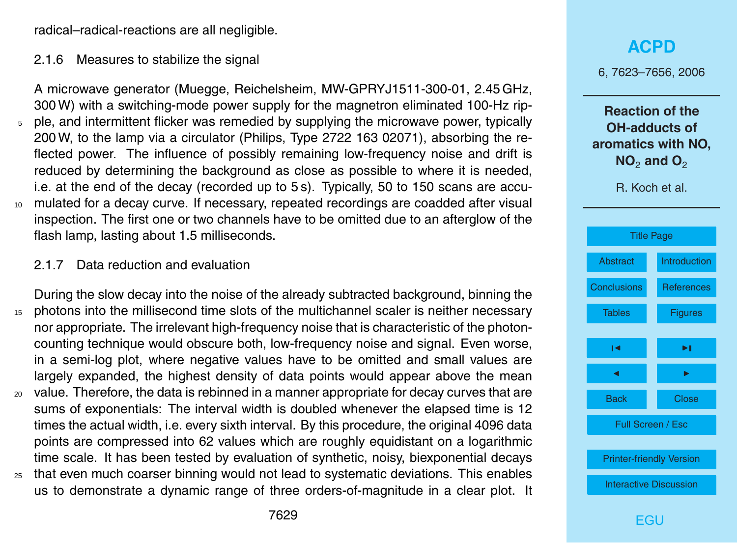radical–radical-reactions are all negligible.

#### 2.1.6 Measures to stabilize the signal

A microwave generator (Muegge, Reichelsheim, MW-GPRYJ1511-300-01, 2.45 GHz, 300 W) with a switching-mode power supply for the magnetron eliminated 100-Hz rip-<sup>5</sup> ple, and intermittent flicker was remedied by supplying the microwave power, typically 200 W, to the lamp via a circulator (Philips, Type 2722 163 02071), absorbing the reflected power. The influence of possibly remaining low-frequency noise and drift is reduced by determining the background as close as possible to where it is needed, i.e. at the end of the decay (recorded up to 5 s). Typically, 50 to 150 scans are accu-<sup>10</sup> mulated for a decay curve. If necessary, repeated recordings are coadded after visual inspection. The first one or two channels have to be omitted due to an afterglow of the flash lamp, lasting about 1.5 milliseconds.

#### 2.1.7 Data reduction and evaluation

During the slow decay into the noise of the already subtracted background, binning the <sup>15</sup> photons into the millisecond time slots of the multichannel scaler is neither necessary nor appropriate. The irrelevant high-frequency noise that is characteristic of the photoncounting technique would obscure both, low-frequency noise and signal. Even worse, in a semi-log plot, where negative values have to be omitted and small values are largely expanded, the highest density of data points would appear above the mean <sup>20</sup> value. Therefore, the data is rebinned in a manner appropriate for decay curves that are sums of exponentials: The interval width is doubled whenever the elapsed time is 12 times the actual width, i.e. every sixth interval. By this procedure, the original 4096 data points are compressed into 62 values which are roughly equidistant on a logarithmic time scale. It has been tested by evaluation of synthetic, noisy, biexponential decays <sup>25</sup> that even much coarser binning would not lead to systematic deviations. This enables us to demonstrate a dynamic range of three orders-of-magnitude in a clear plot. It 6, 7623–7656, 2006

**Reaction of the OH-adducts of aromatics with NO, NO<sub>2</sub> and O<sub>2</sub>** 

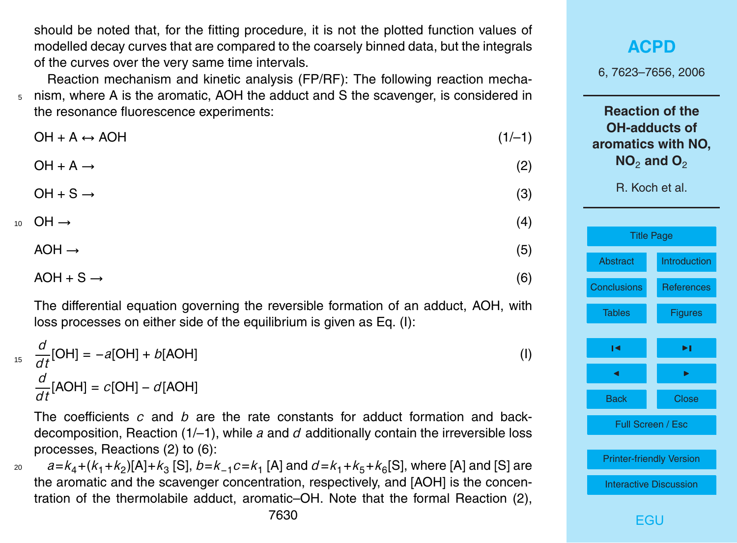should be noted that, for the fitting procedure, it is not the plotted function values of modelled decay curves that are compared to the coarsely binned data, but the integrals of the curves over the very same time intervals.

Reaction mechanism and kinetic analysis (FP/RF): The following reaction mecha-<sup>5</sup> nism, where A is the aromatic, AOH the adduct and S the scavenger, is considered in the resonance fluorescence experiments:

| $OH + A \leftrightarrow AOH$ | $(1/-1)$ |  |  |
|------------------------------|----------|--|--|
|                              |          |  |  |

$$
\text{OH} + \text{A} \rightarrow \tag{2}
$$

$$
\text{OH} + \text{S} \rightarrow \tag{3}
$$

$$
10 \quad \text{OH} \rightarrow \tag{4}
$$

$$
AOH \rightarrow (5)
$$

$$
AOH + S \rightarrow (6)
$$

The differential equation governing the reversible formation of an adduct, AOH, with loss processes on either side of the equilibrium is given as Eq. (I):

$$
\frac{d}{dt}[OH] = -a[OH] + b[AOH]
$$
\n
$$
\frac{d}{dt}[AOH] = c[OH] - d[AOH]
$$
\n(1)

The coefficients *c* and *b* are the rate constants for adduct formation and backdecomposition, Reaction (1/–1), while *a* and *d* additionally contain the irreversible loss processes, Reactions (2) to (6):

20  $a = k_4 + (k_1 + k_2)$ [A]+ $k_3$  [S],  $b = k_{-1}c = k_1$  [A] and  $d = k_1 + k_5 + k_6$ [S], where [A] and [S] are the aromatic and the scavenger concentration, respectively, and [AOH] is the concentration of the thermolabile adduct, aromatic–OH. Note that the formal Reaction (2),

**[ACPD](http://www.atmos-chem-phys-discuss.net)** 6, 7623–7656, 2006 **Reaction of the OH-adducts of aromatics with NO, NO**<sup>2</sup> **and O**<sup>2</sup> R. Koch et al. [Title Page](#page-0-0) [Abstract](#page-1-0) [Introduction](#page-1-0) [Conclusions](#page-15-0) [References](#page-22-0) [Tables](#page-27-0) [Figures](#page-29-0) J I J I Back Close Full Screen / Esc [Printer-friendly Version](http://www.atmos-chem-phys-discuss.net/6/7623/2006/acpd-6-7623-2006-print.pdf) [Interactive Discussion](http://www.atmos-chem-phys-discuss.net/6/7623/2006/acpd-6-7623-2006-discussion.html)

**FGU**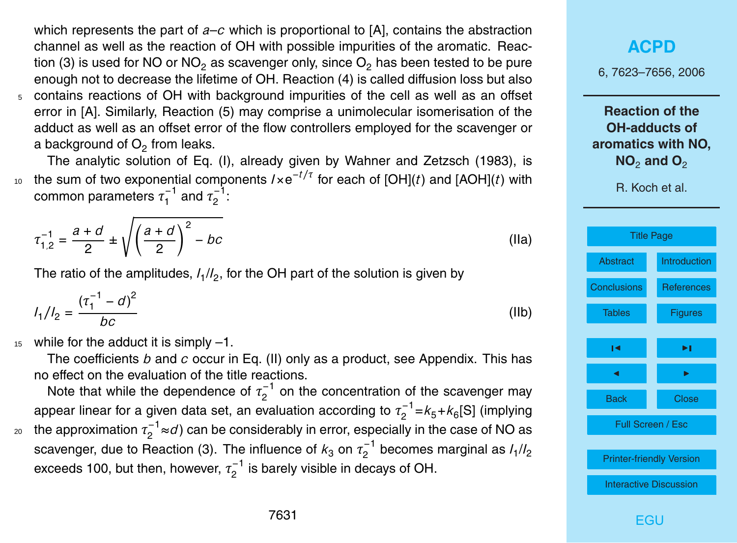which represents the part of *a*–*c* which is proportional to [A], contains the abstraction channel as well as the reaction of OH with possible impurities of the aromatic. Reaction (3) is used for NO or NO<sub>2</sub> as scavenger only, since  $O<sub>2</sub>$  has been tested to be pure enough not to decrease the lifetime of OH. Reaction (4) is called diffusion loss but also <sup>5</sup> contains reactions of OH with background impurities of the cell as well as an offset error in [A]. Similarly, Reaction (5) may comprise a unimolecular isomerisation of the adduct as well as an offset error of the flow controllers employed for the scavenger or a background of  $\mathsf{O}_2$  from leaks.

The analytic solution of Eq. (I), already given by Wahner and Zetzsch (1983), is  $10$  the sum of two exponential components  $I \times e^{-t/τ}$  for each of [OH](*t*) and [AOH](*t*) with common parameters *τ* −1  $\tau_1^{-1}$  and  $\tau_2^{-1}$ .- '.<br>2

$$
\tau_{1,2}^{-1} = \frac{a+d}{2} \pm \sqrt{\left(\frac{a+d}{2}\right)^2 - bc}
$$
 (Ila)

The ratio of the amplitudes,  $I_1/I_2$ , for the OH part of the solution is given by

$$
I_1/I_2 = \frac{(\tau_1^{-1} - d)^2}{bc} \tag{IIb}
$$

 $15$  while for the adduct it is simply  $-1$ .

The coefficients *b* and *c* occur in Eq. (II) only as a product, see Appendix. This has no effect on the evaluation of the title reactions.

Note that while the dependence of  $\tau_2^{-1}$  $2^{-1}$  on the concentration of the scavenger may appear linear for a given data set, an evaluation according to  $\tau_2^{-1}$  $\binom{1}{2}$  =  $k_5 + k_6$ [S] (implying the approximation  $\tau^{-1}_2$  $_{\rm 20}$   $\,$  the approximation  $\tau_2^{-1}$ ≈*d*) can be considerably in error, especially in the case of NO as scavenger, due to Reaction (3). The influence of  $k_3$  on  $\tau_2^{-1}$  $\frac{1}{2}$ <sup>-</sup> becomes marginal as  $I_1/I_2$ exceeds 100, but then, however,  $\tau_2^{-1}$  $2^{-1}$  is barely visible in decays of OH.

#### **[ACPD](http://www.atmos-chem-phys-discuss.net)**

6, 7623–7656, 2006

**Reaction of the OH-adducts of aromatics with NO, NO<sub>2</sub> and O<sub>2</sub>** 

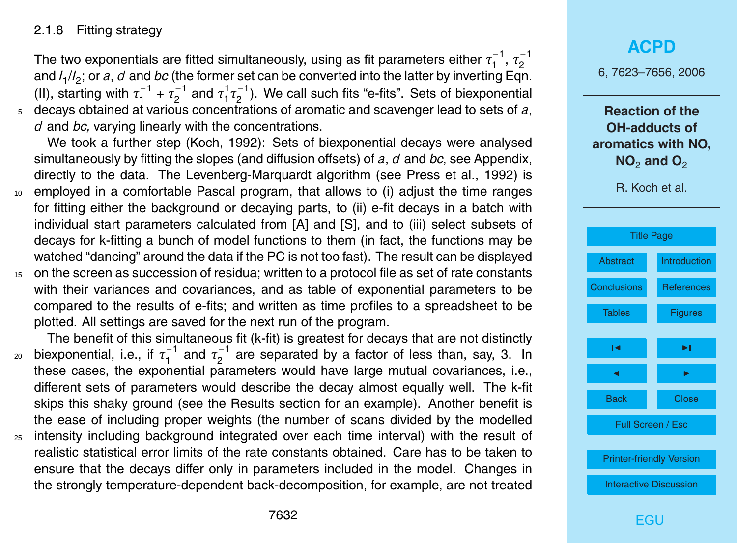#### 2.1.8 Fitting strategy

The two exponentials are fitted simultaneously, using as fit parameters either  $\tau_1^{-1}$  $\tau_1^{-1}, \tau_2^{-1}$ 2 and *I*<sup>1</sup> /*I*2 ; or *a*, *d* and *bc* (the former set can be converted into the latter by inverting Eqn. (II), starting with  $\tau_1^{-1}$  $\tau_1^{-1} + \tau_2^{-1}$  $\tau_2^{-1}$  and  $\tau_1^1$  $\frac{1}{1} \tau_2^{-1}$  $2^{(-)}$ ). We call such fits "e-fits". Sets of biexponential <sup>5</sup> decays obtained at various concentrations of aromatic and scavenger lead to sets of *a*, *d* and *bc,* varying linearly with the concentrations.

We took a further step (Koch, 1992): Sets of biexponential decays were analysed simultaneously by fitting the slopes (and diffusion offsets) of *a*, *d* and *bc*, see Appendix, directly to the data. The Levenberg-Marquardt algorithm (see Press et al., 1992) is <sup>10</sup> employed in a comfortable Pascal program, that allows to (i) adjust the time ranges for fitting either the background or decaying parts, to (ii) e-fit decays in a batch with individual start parameters calculated from [A] and [S], and to (iii) select subsets of decays for k-fitting a bunch of model functions to them (in fact, the functions may be watched "dancing" around the data if the PC is not too fast). The result can be displayed

<sup>15</sup> on the screen as succession of residua; written to a protocol file as set of rate constants with their variances and covariances, and as table of exponential parameters to be compared to the results of e-fits; and written as time profiles to a spreadsheet to be plotted. All settings are saved for the next run of the program.

The benefit of this simultaneous fit (k-fit) is greatest for decays that are not distinctly biexponential, i.e., if *τ* −1  $\tau_1^{-1}$  and  $\tau_2^{-1}$ <sub>20</sub> biexponential, i.e., if  $\tau_1^{-1}$  and  $\tau_2^{-1}$  are separated by a factor of less than, say, 3. In these cases, the exponential parameters would have large mutual covariances, i.e., different sets of parameters would describe the decay almost equally well. The k-fit skips this shaky ground (see the Results section for an example). Another benefit is the ease of including proper weights (the number of scans divided by the modelled <sup>25</sup> intensity including background integrated over each time interval) with the result of realistic statistical error limits of the rate constants obtained. Care has to be taken to ensure that the decays differ only in parameters included in the model. Changes in the strongly temperature-dependent back-decomposition, for example, are not treated

### **[ACPD](http://www.atmos-chem-phys-discuss.net)**

6, 7623–7656, 2006

**Reaction of the OH-adducts of aromatics with NO, NO<sub>2</sub> and O<sub>2</sub>** 

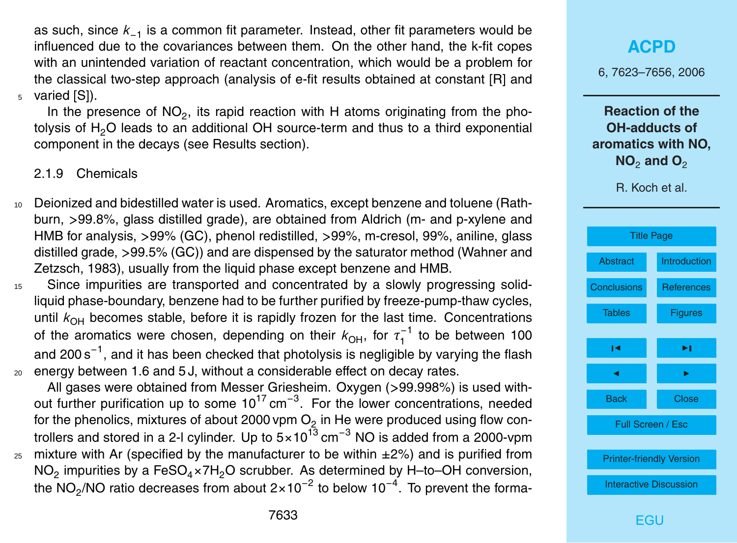as such, since *k*−<sup>1</sup> is a common fit parameter. Instead, other fit parameters would be influenced due to the covariances between them. On the other hand, the k-fit copes with an unintended variation of reactant concentration, which would be a problem for the classical two-step approach (analysis of e-fit results obtained at constant [R] and <sup>5</sup> varied [S]).

In the presence of  $NO_2$ , its rapid reaction with H atoms originating from the photolysis of  $H<sub>2</sub>O$  leads to an additional OH source-term and thus to a third exponential component in the decays (see Results section).

2.1.9 Chemicals

- <sup>10</sup> Deionized and bidestilled water is used. Aromatics, except benzene and toluene (Rathburn, *>*99.8%, glass distilled grade), are obtained from Aldrich (m- and p-xylene and HMB for analysis, *>*99% (GC), phenol redistilled, *>*99%, m-cresol, 99%, aniline, glass distilled grade, *>*99.5% (GC)) and are dispensed by the saturator method (Wahner and Zetzsch, 1983), usually from the liquid phase except benzene and HMB.
- <sup>15</sup> Since impurities are transported and concentrated by a slowly progressing solidliquid phase-boundary, benzene had to be further purified by freeze-pump-thaw cycles, until  $k_{OH}$  becomes stable, before it is rapidly frozen for the last time. Concentrations of the aromatics were chosen, depending on their  $k_{\text{OH}}$ , for  $\tau_1^{-1}$  $t_1^{-1}$  to be between 100 and 200 s $^{-1}$ , and it has been checked that photolysis is negligible by varying the flash <sup>20</sup> energy between 1.6 and 5 J, without a considerable effect on decay rates.
- All gases were obtained from Messer Griesheim. Oxygen (*>*99.998%) is used without further purification up to some  $10^{17}$  cm<sup>-3</sup>. For the lower concentrations, needed for the phenolics, mixtures of about 2000 vpm  $\mathrm{O}_2$  in He were produced using flow controllers and stored in a 2-l cylinder. Up to  $5\times10^{13}$  cm<sup>-3</sup> NO is added from a 2000-vpm  $25$  mixture with Ar (specified by the manufacturer to be within  $\pm 2\%$ ) and is purified from
- $NO_2$  impurities by a FeSO<sub>4</sub>×7H<sub>2</sub>O scrubber. As determined by H–to–OH conversion, the NO<sub>2</sub>/NO ratio decreases from about 2×10<sup>-2</sup> to below 10<sup>-4</sup>. To prevent the forma-

## **[ACPD](http://www.atmos-chem-phys-discuss.net)** 6, 7623–7656, 2006 **Reaction of the OH-adducts of aromatics with NO, NO<sub>2</sub> and O<sub>2</sub>** R. Koch et al. [Title Page](#page-0-0) [Abstract](#page-1-0) [Introduction](#page-1-0) [Conclusions](#page-15-0) [References](#page-22-0) [Tables](#page-27-0) [Figures](#page-29-0)  $\sim$  J  $\sim$ J I Back Close

Full Screen / Esc

[Printer-friendly Version](http://www.atmos-chem-phys-discuss.net/6/7623/2006/acpd-6-7623-2006-print.pdf)

[Interactive Discussion](http://www.atmos-chem-phys-discuss.net/6/7623/2006/acpd-6-7623-2006-discussion.html)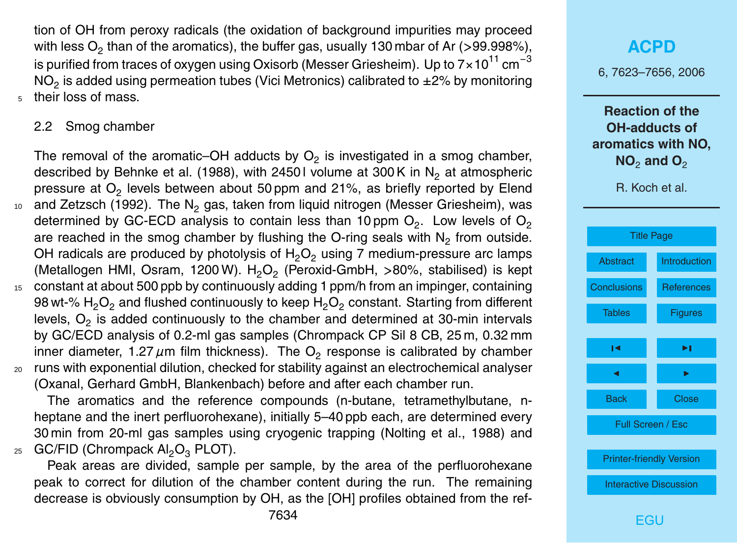tion of OH from peroxy radicals (the oxidation of background impurities may proceed with less O<sub>2</sub> than of the aromatics), the buffer gas, usually 130 mbar of Ar (>99.998%), is purified from traces of oxygen using Oxisorb (Messer Griesheim). Up to  $7\times10^{11}$  cm<sup>-3</sup> NO<sub>2</sub> is added using permeation tubes (Vici Metronics) calibrated to  $\pm 2\%$  by monitoring their loss of mass.

#### 2.2 Smog chamber

The removal of the aromatic–OH adducts by  $O_2$  is investigated in a smog chamber, described by Behnke et al. (1988), with 2450 l volume at 300 K in  $N<sub>2</sub>$  at atmospheric pressure at  $\mathsf{O}_2$  levels between about 50 ppm and 21%, as briefly reported by Elend 10 and Zetzsch (1992). The N<sub>2</sub> gas, taken from liquid nitrogen (Messer Griesheim), was determined by GC-ECD analysis to contain less than 10 ppm  $\mathsf{O}_2$ . Low levels of  $\mathsf{O}_2$ are reached in the smog chamber by flushing the O-ring seals with  $N_2$  from outside. OH radicals are produced by photolysis of  $H_2O_2$  using 7 medium-pressure arc lamps (Metallogen HMI, Osram, 1200 W). H<sub>2</sub>O<sub>2</sub> (Peroxid-GmbH, >80%, stabilised) is kept <sup>15</sup> constant at about 500 ppb by continuously adding 1 ppm/h from an impinger, containing 98 wt-%  $\mathsf{H}_2\mathsf{O}_2$  and flushed continuously to keep  $\mathsf{H}_2\mathsf{O}_2$  constant. Starting from different levels,  $\mathsf{O}_2$  is added continuously to the chamber and determined at 30-min intervals by GC/ECD analysis of 0.2-ml gas samples (Chrompack CP Sil 8 CB, 25 m, 0.32 mm inner diameter, 1.27  $\mu$ m film thickness). The O<sub>2</sub> response is calibrated by chamber <sup>20</sup> runs with exponential dilution, checked for stability against an electrochemical analyser (Oxanal, Gerhard GmbH, Blankenbach) before and after each chamber run.

The aromatics and the reference compounds (n-butane, tetramethylbutane, nheptane and the inert perfluorohexane), initially 5–40 ppb each, are determined every 30 min from 20-ml gas samples using cryogenic trapping (Nolting et al., 1988) and 25  $GC/FlD$  (Chrompack  $Al_2O_3$  PLOT).

Peak areas are divided, sample per sample, by the area of the perfluorohexane peak to correct for dilution of the chamber content during the run. The remaining decrease is obviously consumption by OH, as the [OH] profiles obtained from the ref-

# **[ACPD](http://www.atmos-chem-phys-discuss.net)** 6, 7623–7656, 2006 **Reaction of the OH-adducts of aromatics with NO, NO<sub>2</sub> and O<sub>2</sub>** R. Koch et al. [Title Page](#page-0-0) [Abstract](#page-1-0) [Introduction](#page-1-0) [Conclusions](#page-15-0) [References](#page-22-0) [Tables](#page-27-0) [Figures](#page-29-0)  $\sim$  J  $\sim$ J I Back Close Full Screen / Esc [Printer-friendly Version](http://www.atmos-chem-phys-discuss.net/6/7623/2006/acpd-6-7623-2006-print.pdf) [Interactive Discussion](http://www.atmos-chem-phys-discuss.net/6/7623/2006/acpd-6-7623-2006-discussion.html)

**FGU**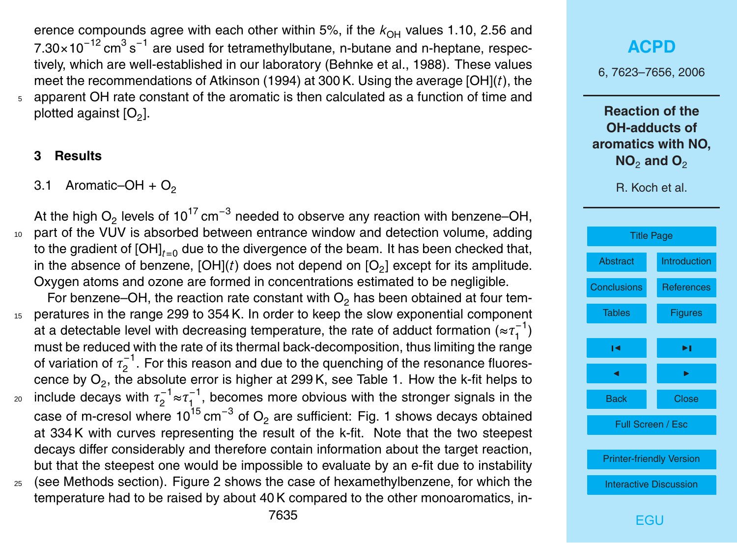erence compounds agree with each other within 5%, if the  $k_{OH}$  values 1.10, 2.56 and 7.30×10<sup>-12</sup> cm<sup>3</sup> s<sup>-1</sup> are used for tetramethylbutane, n-butane and n-heptane, respectively, which are well-established in our laboratory (Behnke et al., 1988). These values meet the recommendations of Atkinson (1994) at 300 K. Using the average [OH](*t*), the <sup>5</sup> apparent OH rate constant of the aromatic is then calculated as a function of time and plotted against [O $_2$ ].

#### **3 Results**

3.1 Aromatic–OH +  $O<sub>2</sub>$ 

At the high O<sub>2</sub> levels of 10<sup>17</sup> cm<sup>−3</sup> needed to observe any reaction with benzene–OH, <sup>10</sup> part of the VUV is absorbed between entrance window and detection volume, adding to the gradient of  $[OH]_{t=0}$  due to the divergence of the beam. It has been checked that, in the absence of benzene, [OH]( $t$ ) does not depend on [O<sub>2</sub>] except for its amplitude. Oxygen atoms and ozone are formed in concentrations estimated to be negligible. For benzene–OH, the reaction rate constant with  $O<sub>2</sub>$  has been obtained at four tem-

<sup>15</sup> peratures in the range 299 to 354 K. In order to keep the slow exponential component at a detectable level with decreasing temperature, the rate of adduct formation ( $\approx\!\tau_1^{-1}$  $\binom{-1}{1}$ must be reduced with the rate of its thermal back-decomposition, thus limiting the range of variation of  $\tau_2^{-1}$  $2^{-1}$ . For this reason and due to the quenching of the resonance fluorescence by  $O_2$ , the absolute error is higher at 299 K, see Table 1. How the k-fit helps to include decays with  $\tau_2^{-1}$  $\tau_2^{-1}$ ≈ $\tau_1^{-1}$ <sub>20</sub> include decays with  $\tau_2^{-1} \approx \tau_1^{-1}$ , becomes more obvious with the stronger signals in the case of m-cresol where 10<sup>15</sup> cm<sup>−3</sup> of O<sub>2</sub> are sufficient: Fig. 1 shows decays obtained at 334 K with curves representing the result of the k-fit. Note that the two steepest decays differ considerably and therefore contain information about the target reaction, but that the steepest one would be impossible to evaluate by an e-fit due to instability <sup>25</sup> (see Methods section). Figure 2 shows the case of hexamethylbenzene, for which the

temperature had to be raised by about 40 K compared to the other monoaromatics, in-

# **[ACPD](http://www.atmos-chem-phys-discuss.net)** 6, 7623–7656, 2006 **Reaction of the OH-adducts of aromatics with NO, NO<sub>2</sub> and O<sub>2</sub>** R. Koch et al. [Title Page](#page-0-0) [Abstract](#page-1-0) [Introduction](#page-1-0) [Conclusions](#page-15-0) [References](#page-22-0) [Tables](#page-27-0) [Figures](#page-29-0)  $\sim$  J  $\sim$ J I Back Close Full Screen / Esc [Printer-friendly Version](http://www.atmos-chem-phys-discuss.net/6/7623/2006/acpd-6-7623-2006-print.pdf) [Interactive Discussion](http://www.atmos-chem-phys-discuss.net/6/7623/2006/acpd-6-7623-2006-discussion.html)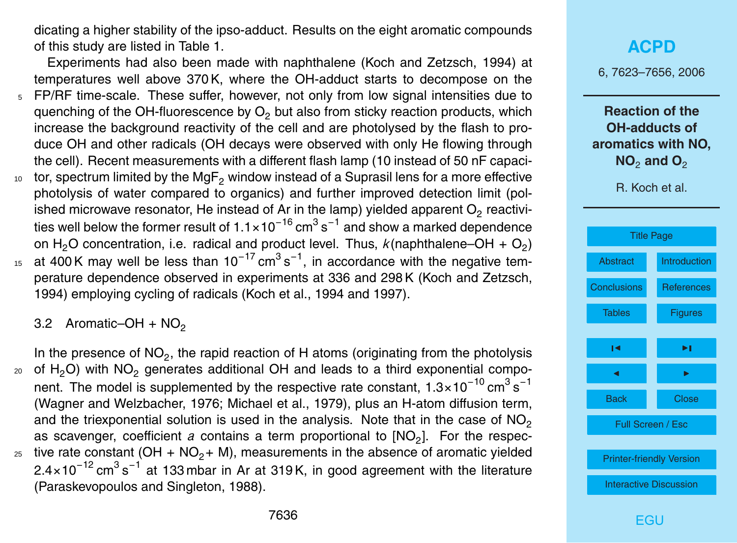dicating a higher stability of the ipso-adduct. Results on the eight aromatic compounds of this study are listed in Table 1.

Experiments had also been made with naphthalene (Koch and Zetzsch, 1994) at temperatures well above 370 K, where the OH-adduct starts to decompose on the <sup>5</sup> FP/RF time-scale. These suffer, however, not only from low signal intensities due to quenching of the OH-fluorescence by  $O<sub>2</sub>$  but also from sticky reaction products, which increase the background reactivity of the cell and are photolysed by the flash to pro-

- duce OH and other radicals (OH decays were observed with only He flowing through the cell). Recent measurements with a different flash lamp (10 instead of 50 nF capaci- $10<sub>10</sub>$  tor, spectrum limited by the MgF<sub>2</sub> window instead of a Suprasil lens for a more effective photolysis of water compared to organics) and further improved detection limit (polished microwave resonator, He instead of Ar in the lamp) yielded apparent  $\mathsf{O}_2$  reactivities well below the former result of 1.1×10 $^{-16}$  cm $^3$  s $^{-1}$  and show a marked dependence
- on H<sub>2</sub>O concentration, i.e. radical and product level. Thus,  $k$ (naphthalene–OH + O<sub>2</sub>) 15 at 400K may well be less than 10<sup>-17</sup> cm<sup>3</sup> s<sup>-1</sup>, in accordance with the negative temperature dependence observed in experiments at 336 and 298 K (Koch and Zetzsch, 1994) employing cycling of radicals (Koch et al., 1994 and 1997).

3.2 Aromatic–OH +  $NO<sub>2</sub>$ 

In the presence of  $NO_2$ , the rapid reaction of H atoms (originating from the photolysis  $20$  of H<sub>2</sub>O) with NO<sub>2</sub> generates additional OH and leads to a third exponential component. The model is supplemented by the respective rate constant, 1.3×10<sup>-10</sup> cm<sup>3</sup> s<sup>-1</sup> (Wagner and Welzbacher, 1976; Michael et al., 1979), plus an H-atom diffusion term, and the triexponential solution is used in the analysis. Note that in the case of  $NO<sub>2</sub>$ as scavenger, coefficient a contains a term proportional to [NO<sub>2</sub>]. For the respec-<sup>25</sup> tive rate constant (OH + NO<sub>2</sub>+ M), measurements in the absence of aromatic yielded 2.4×10<sup>-12</sup> cm<sup>3</sup> s<sup>-1</sup> at 133 mbar in Ar at 319K, in good agreement with the literature (Paraskevopoulos and Singleton, 1988).

6, 7623–7656, 2006

**Reaction of the OH-adducts of aromatics with NO, NO<sub>2</sub> and O<sub>2</sub>** 

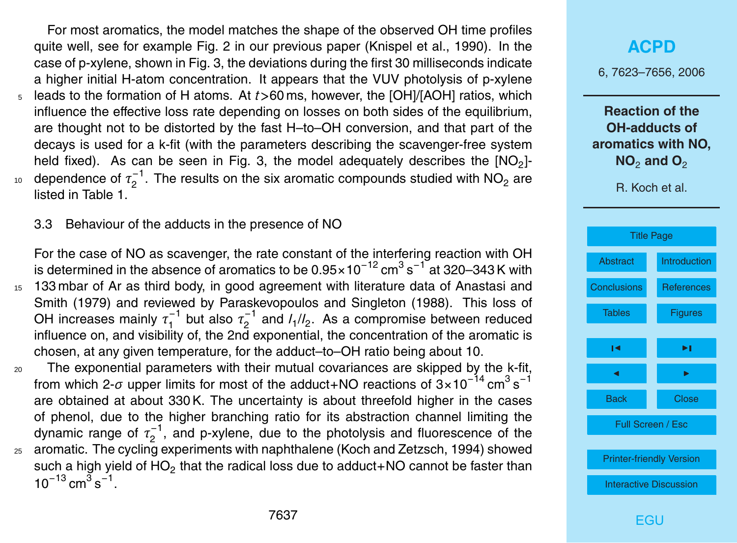For most aromatics, the model matches the shape of the observed OH time profiles quite well, see for example Fig. 2 in our previous paper (Knispel et al., 1990). In the case of p-xylene, shown in Fig. 3, the deviations during the first 30 milliseconds indicate a higher initial H-atom concentration. It appears that the VUV photolysis of p-xylene <sup>5</sup> leads to the formation of H atoms. At *t>*60 ms, however, the [OH]/[AOH] ratios, which influence the effective loss rate depending on losses on both sides of the equilibrium, are thought not to be distorted by the fast H–to–OH conversion, and that part of the decays is used for a k-fit (with the parameters describing the scavenger-free system held fixed). As can be seen in Fig. 3, the model adequately describes the  $[NO<sub>2</sub>]$ dependence of τ<sub>2</sub><sup>-1</sup>  $_{10}$  dependence of  $\tau_2^{-1}$ . The results on the six aromatic compounds studied with NO<sub>2</sub> are listed in Table 1.

3.3 Behaviour of the adducts in the presence of NO

For the case of NO as scavenger, the rate constant of the interfering reaction with OH is determined in the absence of aromatics to be 0.95×10<sup>-12</sup> cm<sup>3</sup> s<sup>-1</sup> at 320–343 K with <sup>15</sup> 133 mbar of Ar as third body, in good agreement with literature data of Anastasi and Smith (1979) and reviewed by Paraskevopoulos and Singleton (1988). This loss of OH increases mainly  $\tau_1^{-1}$  $\tau_1^{-1}$  but also  $\tau_2^{-1}$  $2^{-1}$  and  $I_1/I_2$ . As a compromise between reduced influence on, and visibility of, the 2nd exponential, the concentration of the aromatic is chosen, at any given temperature, for the adduct–to–OH ratio being about 10.

<sup>20</sup> The exponential parameters with their mutual covariances are skipped by the k-fit, from which 2- $\sigma$  upper limits for most of the adduct+NO reactions of 3×10<sup>-14</sup> cm<sup>3</sup> s<sup>-1</sup> are obtained at about 330 K. The uncertainty is about threefold higher in the cases of phenol, due to the higher branching ratio for its abstraction channel limiting the dynamic range of  $\tau_2^{-1}$  $2^{-1}$ , and p-xylene, due to the photolysis and fluorescence of the <sup>25</sup> aromatic. The cycling experiments with naphthalene (Koch and Zetzsch, 1994) showed such a high yield of  $HO_2$  that the radical loss due to adduct+NO cannot be faster than  $10^{-13}$  cm<sup>3</sup> s<sup>-1</sup>.

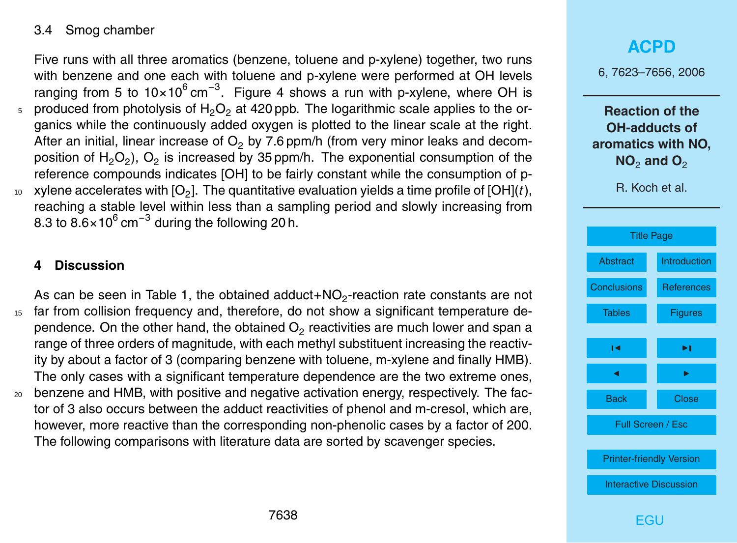#### <span id="page-15-0"></span>3.4 Smog chamber

Five runs with all three aromatics (benzene, toluene and p-xylene) together, two runs with benzene and one each with toluene and p-xylene were performed at OH levels ranging from 5 to 10×10<sup>6</sup> cm<sup>-3</sup>. Figure 4 shows a run with p-xylene, where OH is produced from photolysis of  $H_2O_2$  at 420 ppb. The logarithmic scale applies to the organics while the continuously added oxygen is plotted to the linear scale at the right. After an initial, linear increase of  $O<sub>2</sub>$  by 7.6 ppm/h (from very minor leaks and decomposition of  $H_2O_2$ ),  $O_2$  is increased by 35 ppm/h. The exponential consumption of the reference compounds indicates [OH] to be fairly constant while the consumption of p- $_{\rm 10}$   $\,$  xylene accelerates with [O<sub>2</sub>]. The quantitative evaluation yields a time profile of [OH](*t*), reaching a stable level within less than a sampling period and slowly increasing from 8.3 to 8.6×10 $^6$  cm $^{-3}$  during the following 20 h.

#### **4 Discussion**

As can be seen in Table 1, the obtained adduct+NO<sub>2</sub>-reaction rate constants are not <sup>15</sup> far from collision frequency and, therefore, do not show a significant temperature dependence. On the other hand, the obtained  $\mathsf{O}_2$  reactivities are much lower and span a range of three orders of magnitude, with each methyl substituent increasing the reactivity by about a factor of 3 (comparing benzene with toluene, m-xylene and finally HMB). The only cases with a significant temperature dependence are the two extreme ones, <sup>20</sup> benzene and HMB, with positive and negative activation energy, respectively. The factor of 3 also occurs between the adduct reactivities of phenol and m-cresol, which are, however, more reactive than the corresponding non-phenolic cases by a factor of 200.

The following comparisons with literature data are sorted by scavenger species.

# **[ACPD](http://www.atmos-chem-phys-discuss.net)** 6, 7623–7656, 2006 **Reaction of the OH-adducts of aromatics with NO, NO<sub>2</sub> and O<sub>2</sub>** R. Koch et al. [Title Page](#page-0-0) [Abstract](#page-1-0) [Introduction](#page-1-0) Conclusions [References](#page-22-0) [Tables](#page-27-0) [Figures](#page-29-0)  $\sim$  J  $\sim$ J I Back Close Full Screen / Esc [Printer-friendly Version](http://www.atmos-chem-phys-discuss.net/6/7623/2006/acpd-6-7623-2006-print.pdf) [Interactive Discussion](http://www.atmos-chem-phys-discuss.net/6/7623/2006/acpd-6-7623-2006-discussion.html) **FGU**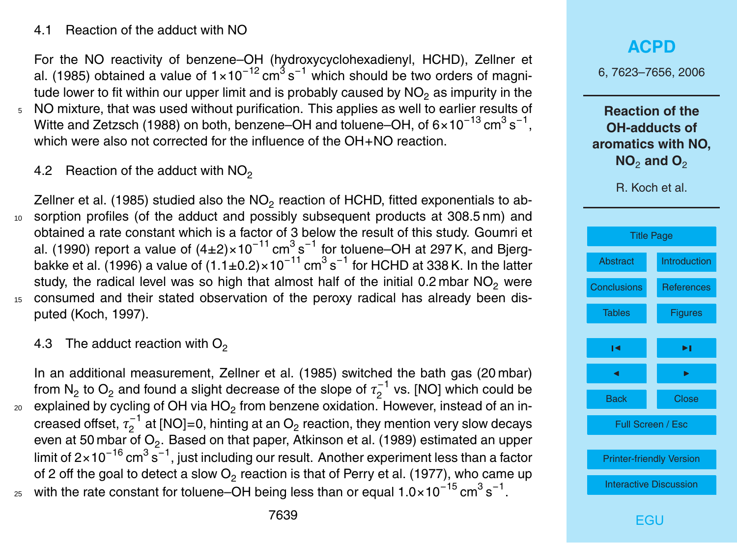#### 4.1 Reaction of the adduct with NO

For the NO reactivity of benzene–OH (hydroxycyclohexadienyl, HCHD), Zellner et al. (1985) obtained a value of 1×10<sup>-12</sup> cm<sup>3</sup>s<sup>-1</sup> which should be two orders of magnitude lower to fit within our upper limit and is probably caused by  $NO<sub>2</sub>$  as impurity in the

- <sup>5</sup> NO mixture, that was used without purification. This applies as well to earlier results of Witte and Zetzsch (1988) on both, benzene–OH and toluene–OH, of 6×10<sup>-13</sup> cm $^3$  s<sup>-1</sup>, which were also not corrected for the influence of the OH+NO reaction.
	- 4.2 Reaction of the adduct with  $NO<sub>2</sub>$

Zellner et al. (1985) studied also the NO<sub>2</sub> reaction of HCHD, fitted exponentials to ab-<sup>10</sup> sorption profiles (of the adduct and possibly subsequent products at 308.5 nm) and obtained a rate constant which is a factor of 3 below the result of this study. Goumri et al. (1990) report a value of (4±2)×10<sup>-11</sup> cm<sup>3</sup> s<sup>-1</sup> for toluene–OH at 297 K, and Bjergbakke et al. (1996) a value of (1.1±0.2)×10<sup>-11</sup> cm<sup>3</sup> s<sup>-1</sup> for HCHD at 338 K. In the latter study, the radical level was so high that almost half of the initial 0.2 mbar  $NO<sub>2</sub>$  were <sup>15</sup> consumed and their stated observation of the peroxy radical has already been disputed (Koch, 1997).

#### 4.3 The adduct reaction with  $O<sub>2</sub>$

In an additional measurement, Zellner et al. (1985) switched the bath gas (20 mbar) from N<sub>2</sub> to O<sub>2</sub> and found a slight decrease of the slope of  $\tau_2^{-1}$  $2^{(-)}$  vs. [NO] which could be  $_{\rm 20}$   $\,$  explained by cycling of OH via HO $_2$  from benzene oxidation. However, instead of an increased offset,  $\tau^{-1}_2$  $_2^{-1}$  at [NO]=0, hinting at an O $_2$  reaction, they mention very slow decays even at 50 mbar of  $\mathrm{O}_2.$  Based on that paper, Atkinson et al. (1989) estimated an upper limit of 2×10 $^{-16}$  cm $^3$  s $^{-1}$ , just including our result. Another experiment less than a factor of 2 off the goal to detect a slow  $\mathrm{O}_2$  reaction is that of Perry et al. (1977), who came up  $_{25}$  with the rate constant for toluene–OH being less than or equal 1.0×10<sup>−15</sup> cm $^3\,{\rm s}^{-1}.$ 

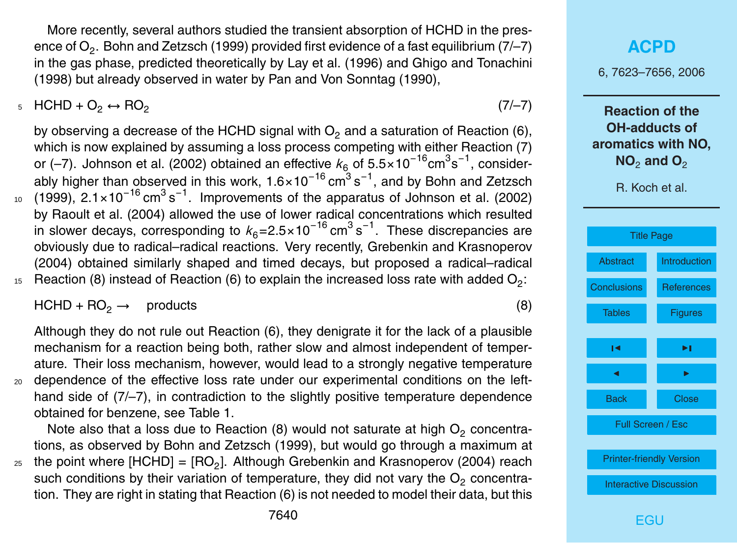More recently, several authors studied the transient absorption of HCHD in the presence of  $\mathrm{O}_2.$  Bohn and Zetzsch (1999) provided first evidence of a fast equilibrium (7/–7) in the gas phase, predicted theoretically by Lay et al. (1996) and Ghigo and Tonachini (1998) but already observed in water by Pan and Von Sonntag (1990),

5 HCHD + O<sub>2</sub> ↔ RO<sub>2</sub> (7/–7)

by observing a decrease of the HCHD signal with  $O<sub>2</sub>$  and a saturation of Reaction (6), which is now explained by assuming a loss process competing with either Reaction (7) or (–7). Johnson et al. (2002) obtained an effective  $k_6$  of 5.5×10<sup>-16</sup>cm<sup>3</sup>s<sup>-1</sup>, considerably higher than observed in this work, 1.6×10<sup>-16</sup> cm $^3\,{\rm s}^{-1}$ , and by Bohn and Zetzsch  $10$  (1999), 2.1×10<sup>-16</sup> cm<sup>3</sup> s<sup>-1</sup>. Improvements of the apparatus of Johnson et al. (2002) by Raoult et al. (2004) allowed the use of lower radical concentrations which resulted in slower decays, corresponding to  $k_6{=}2.5{\times}10^{-16}\,\text{cm}^3\,\text{s}^{-1}.$  These discrepancies are obviously due to radical–radical reactions. Very recently, Grebenkin and Krasnoperov (2004) obtained similarly shaped and timed decays, but proposed a radical–radical  $_{15}$  Reaction (8) instead of Reaction (6) to explain the increased loss rate with added O<sub>2</sub>:

 $HCHD + RO_2 \rightarrow$  products (8)

Although they do not rule out Reaction (6), they denigrate it for the lack of a plausible mechanism for a reaction being both, rather slow and almost independent of temperature. Their loss mechanism, however, would lead to a strongly negative temperature <sub>20</sub> dependence of the effective loss rate under our experimental conditions on the left-

hand side of  $(7/-7)$ , in contradiction to the slightly positive temperature dependence obtained for benzene, see Table 1.

Note also that a loss due to Reaction (8) would not saturate at high  $O_2$  concentrations, as observed by Bohn and Zetzsch (1999), but would go through a maximum at  $_{25}$  the point where [HCHD] = [RO<sub>2</sub>]. Although Grebenkin and Krasnoperov (2004) reach

such conditions by their variation of temperature, they did not vary the  $O<sub>2</sub>$  concentration. They are right in stating that Reaction (6) is not needed to model their data, but this 6, 7623–7656, 2006

**Reaction of the OH-adducts of aromatics with NO, NO<sub>2</sub> and O<sub>2</sub>** 

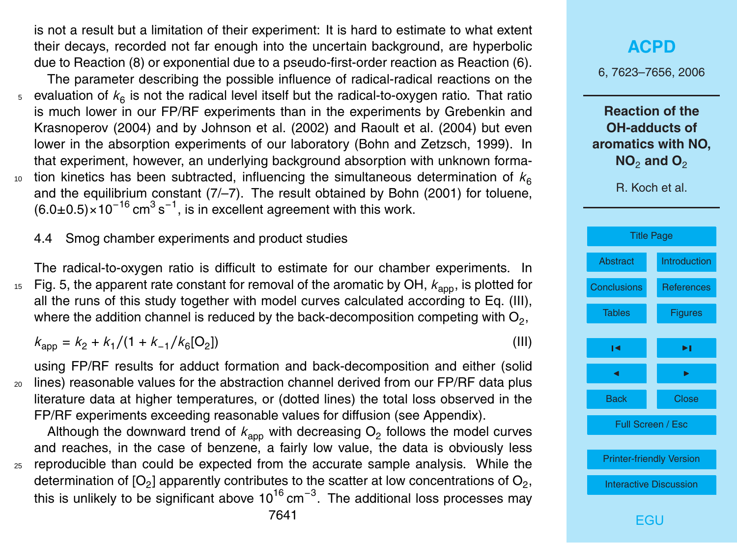is not a result but a limitation of their experiment: It is hard to estimate to what extent their decays, recorded not far enough into the uncertain background, are hyperbolic due to Reaction (8) or exponential due to a pseudo-first-order reaction as Reaction (6).

The parameter describing the possible influence of radical-radical reactions on the  $_5$  evaluation of  $k_6$  is not the radical level itself but the radical-to-oxygen ratio. That ratio is much lower in our FP/RF experiments than in the experiments by Grebenkin and Krasnoperov (2004) and by Johnson et al. (2002) and Raoult et al. (2004) but even lower in the absorption experiments of our laboratory (Bohn and Zetzsch, 1999). In that experiment, however, an underlying background absorption with unknown formation kinetics has been subtracted, influencing the simultaneous determination of  $k<sub>6</sub>$ 10 and the equilibrium constant  $(7/-7)$ . The result obtained by Bohn  $(2001)$  for toluene,  $(6.0\pm0.5)\times10^{-16}$  cm<sup>3</sup> s<sup>-1</sup>, is in excellent agreement with this work.

4.4 Smog chamber experiments and product studies

The radical-to-oxygen ratio is difficult to estimate for our chamber experiments. In  $F_{15}$  Fig. 5, the apparent rate constant for removal of the aromatic by OH,  $k_{\text{app}}$ , is plotted for all the runs of this study together with model curves calculated according to Eq. (III), where the addition channel is reduced by the back-decomposition competing with  $\mathsf{O}_2,$ 

 $k_{\text{app}} = k_2 + k_1/(1 + k_{-1}/k_6$ [O<sub>2</sub> ]) (III)

using FP/RF results for adduct formation and back-decomposition and either (solid <sup>20</sup> lines) reasonable values for the abstraction channel derived from our FP/RF data plus literature data at higher temperatures, or (dotted lines) the total loss observed in the FP/RF experiments exceeding reasonable values for diffusion (see Appendix).

Although the downward trend of  $k_{\rm app}$  with decreasing  ${\mathsf O}_2$  follows the model curves and reaches, in the case of benzene, a fairly low value, the data is obviously less <sup>25</sup> reproducible than could be expected from the accurate sample analysis. While the determination of [O<sub>2</sub>] apparently contributes to the scatter at low concentrations of O<sub>2</sub>, this is unlikely to be significant above 10<sup>16</sup> cm<sup>−3</sup>. The additional loss processes may

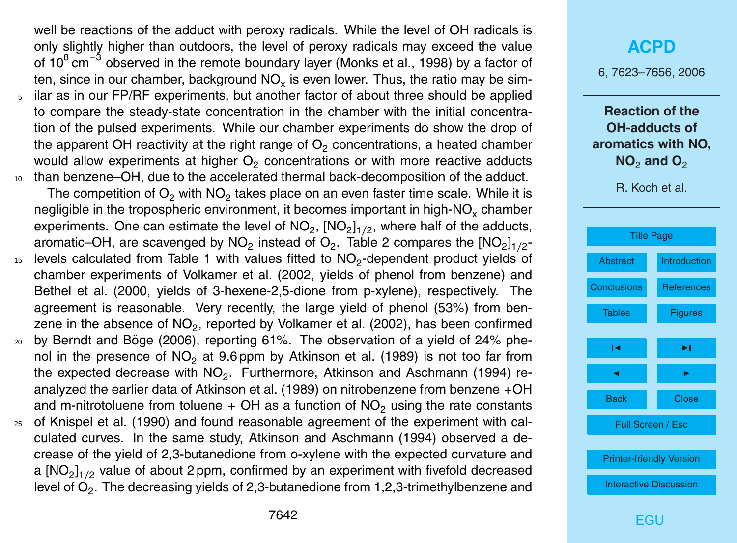well be reactions of the adduct with peroxy radicals. While the level of OH radicals is only slightly higher than outdoors, the level of peroxy radicals may exceed the value of 10<sup>8</sup> cm<sup>-3</sup> observed in the remote boundary layer (Monks et al., 1998) by a factor of ten, since in our chamber, background NO<sub>x</sub> is even lower. Thus, the ratio may be sim-<sup>5</sup> ilar as in our FP/RF experiments, but another factor of about three should be applied to compare the steady-state concentration in the chamber with the initial concentration of the pulsed experiments. While our chamber experiments do show the drop of the apparent OH reactivity at the right range of  $\mathsf{O}_2$  concentrations, a heated chamber would allow experiments at higher  $\mathsf{O}_2$  concentrations or with more reactive adducts <sup>10</sup> than benzene–OH, due to the accelerated thermal back-decomposition of the adduct.

The competition of  $\mathsf{O}_2$  with  $\mathsf{NO}_2$  takes place on an even faster time scale. While it is negligible in the tropospheric environment, it becomes important in high-NO<sub>x</sub> chamber experiments. One can estimate the level of NO<sub>2</sub>, [NO<sub>2</sub>]<sub>1/2</sub>, where half of the adducts, aromatic–OH, are scavenged by NO<sub>2</sub> instead of O<sub>2</sub>. Table 2 compares the [NO<sub>2</sub>]<sub>1/2</sub>- $15$  levels calculated from Table 1 with values fitted to NO<sub>2</sub>-dependent product yields of

- chamber experiments of Volkamer et al. (2002, yields of phenol from benzene) and Bethel et al. (2000, yields of 3-hexene-2,5-dione from p-xylene), respectively. The agreement is reasonable. Very recently, the large yield of phenol (53%) from benzene in the absence of NO<sub>2</sub>, reported by Volkamer et al. (2002), has been confirmed
- $20$  by Berndt and Böge (2006), reporting 61%. The observation of a yield of 24% phenol in the presence of  $NO<sub>2</sub>$  at 9.6 ppm by Atkinson et al. (1989) is not too far from the expected decrease with  $NO_2$ . Furthermore, Atkinson and Aschmann (1994) reanalyzed the earlier data of Atkinson et al. (1989) on nitrobenzene from benzene +OH and m-nitrotoluene from toluene  $+$  OH as a function of NO<sub>2</sub> using the rate constants
- <sup>25</sup> of Knispel et al. (1990) and found reasonable agreement of the experiment with calculated curves. In the same study, Atkinson and Aschmann (1994) observed a decrease of the yield of 2,3-butanedione from o-xylene with the expected curvature and a [NO<sub>2</sub>]<sub>1/2</sub> value of about 2 ppm, confirmed by an experiment with fivefold decreased level of  $\mathsf{O}_2.$  The decreasing yields of 2,3-butanedione from 1,2,3-trimethylbenzene and

#### **[ACPD](http://www.atmos-chem-phys-discuss.net)**

6, 7623–7656, 2006

**Reaction of the OH-adducts of aromatics with NO, NO<sub>2</sub> and O<sub>2</sub>** 

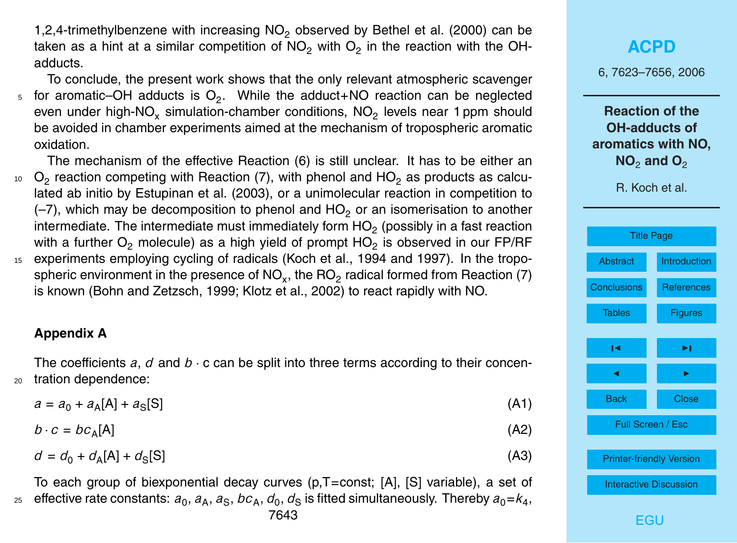1,2,4-trimethylbenzene with increasing  $NO<sub>2</sub>$  observed by Bethel et al. (2000) can be taken as a hint at a similar competition of NO<sub>2</sub> with O<sub>2</sub> in the reaction with the OHadducts.

To conclude, the present work shows that the only relevant atmospheric scavenger  $_5$  for aromatic–OH adducts is  $O_2$ . While the adduct+NO reaction can be neglected even under high-NO<sub>x</sub> simulation-chamber conditions, NO<sub>2</sub> levels near 1 ppm should be avoided in chamber experiments aimed at the mechanism of tropospheric aromatic oxidation.

The mechanism of the effective Reaction (6) is still unclear. It has to be either an  $_{^{10}}$   $\rm O_2$  reaction competing with Reaction (7), with phenol and HO $_2$  as products as calculated ab initio by Estupinan et al. (2003), or a unimolecular reaction in competition to  $(-7)$ , which may be decomposition to phenol and HO<sub>2</sub> or an isomerisation to another intermediate. The intermediate must immediately form HO<sub>2</sub> (possibly in a fast reaction with a further  $\mathrm{O}_2$  molecule) as a high yield of prompt HO<sub>2</sub> is observed in our FP/RF <sup>15</sup> experiments employing cycling of radicals (Koch et al., 1994 and 1997). In the tropospheric environment in the presence of NO<sub>x</sub>, the RO<sub>2</sub> radical formed from Reaction (7) is known (Bohn and Zetzsch, 1999; Klotz et al., 2002) to react rapidly with NO.

#### **Appendix A**

The coefficients  $a, d$  and  $b \cdot c$  can be split into three terms according to their concen-<sup>20</sup> tration dependence:

 $a = a_0 + a_A[A] + a_S$  $[S]$  (A1)

$$
b \cdot c = bc_A[A] \tag{A2}
$$

$$
d = d_0 + d_A[A] + d_S[S] \tag{A3}
$$

To each group of biexponential decay curves (p,T=const; [A], [S] variable), a set of  $_{{\rm z}\scriptscriptstyle 5}$  effective rate constants:  $a_{\rm 0}, a_{\rm A}, a_{\rm S},$   $bc_{\rm A}, d_{\rm 0}, d_{\rm S}$  is fitted simultaneously. Thereby  $a_{\rm 0}$ = $k_{\rm 4},$ 

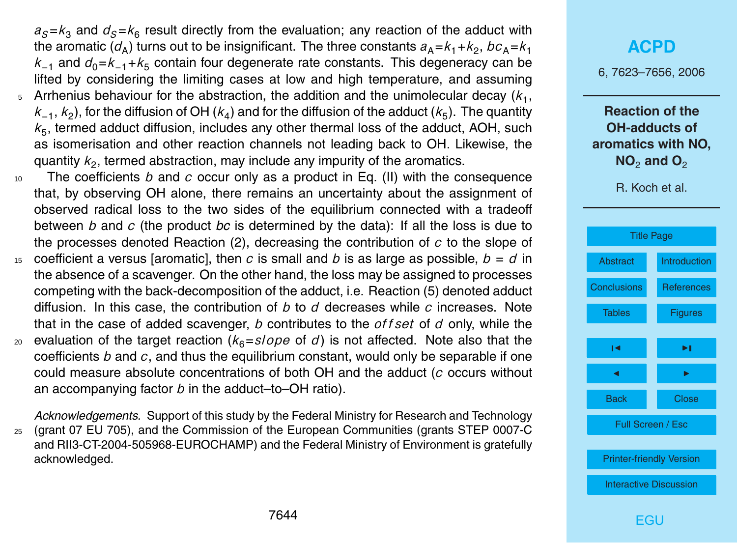$a_S$ = $k_3$  and  $d_S$ = $k_6$  result directly from the evaluation; any reaction of the adduct with the aromatic ( $d_{\sf A}$ ) turns out to be insignificant. The three constants  $a_{\sf A}\hspace{-1pt}=\hspace{-1pt}k_1\hspace{-1pt}+\hspace{-1pt}k_2,$   $bc_{\sf A}\hspace{-1pt}=\hspace{-1pt}k_1$ *k*<sub>−1</sub> and  $d_0$ = $k_{-1}$ + $k_5$  contain four degenerate rate constants. This degeneracy can be lifted by considering the limiting cases at low and high temperature, and assuming

- $_5$  Arrhenius behaviour for the abstraction, the addition and the unimolecular decay  $(k_1,$  $k_{-1}$ ,  $k_2$ ), for the diffusion of OH ( $k_4$ ) and for the diffusion of the adduct ( $k_5$ ). The quantity *k*5 , termed adduct diffusion, includes any other thermal loss of the adduct, AOH, such as isomerisation and other reaction channels not leading back to OH. Likewise, the quantity  $k_2$ , termed abstraction, may include any impurity of the aromatics.
- <sup>10</sup> The coefficients *b* and *c* occur only as a product in Eq. (II) with the consequence that, by observing OH alone, there remains an uncertainty about the assignment of observed radical loss to the two sides of the equilibrium connected with a tradeoff between *b* and *c* (the product *bc* is determined by the data): If all the loss is due to the processes denoted Reaction (2), decreasing the contribution of *c* to the slope of
- 15 coefficient a versus [aromatic], then *c* is small and *b* is as large as possible,  $b = d$  in the absence of a scavenger. On the other hand, the loss may be assigned to processes competing with the back-decomposition of the adduct, i.e. Reaction (5) denoted adduct diffusion. In this case, the contribution of *b* to *d* decreases while *c* increases. Note that in the case of added scavenger, *b* contributes to the *of f set* of *d* only, while the
- 20 evaluation of the target reaction  $(k<sub>6</sub>=slope)$  of *d*) is not affected. Note also that the coefficients *b* and *c*, and thus the equilibrium constant, would only be separable if one could measure absolute concentrations of both OH and the adduct (*c* occurs without an accompanying factor *b* in the adduct–to–OH ratio).

*Acknowledgements.* Support of this study by the Federal Ministry for Research and Technology <sup>25</sup> (grant 07 EU 705), and the Commission of the European Communities (grants STEP 0007-C and RII3-CT-2004-505968-EUROCHAMP) and the Federal Ministry of Environment is gratefully acknowledged.

### **[ACPD](http://www.atmos-chem-phys-discuss.net)**

6, 7623–7656, 2006

**Reaction of the OH-adducts of aromatics with NO, NO<sub>2</sub> and O<sub>2</sub>** 

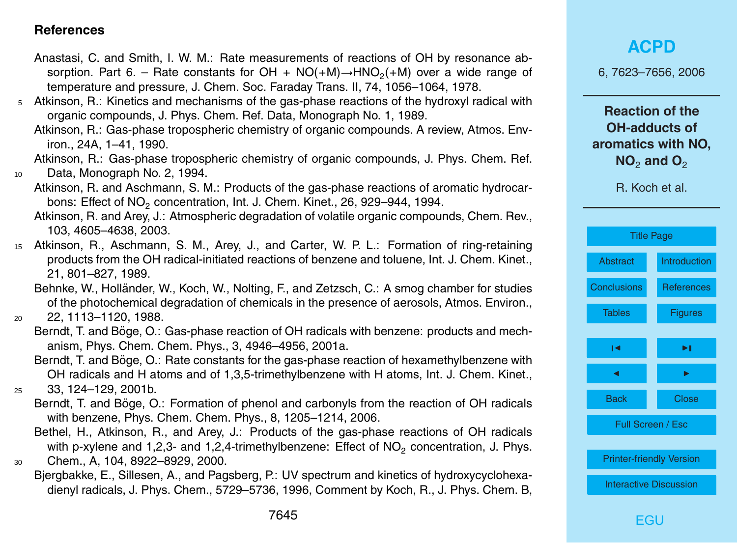#### <span id="page-22-0"></span>**References**

- Anastasi, C. and Smith, I. W. M.: Rate measurements of reactions of OH by resonance absorption. Part 6. – Rate constants for OH + NO(+M) $\rightarrow$ HNO<sub>2</sub>(+M) over a wide range of temperature and pressure, J. Chem. Soc. Faraday Trans. II, 74, 1056–1064, 1978.
- <sup>5</sup> Atkinson, R.: Kinetics and mechanisms of the gas-phase reactions of the hydroxyl radical with organic compounds, J. Phys. Chem. Ref. Data, Monograph No. 1, 1989.
	- Atkinson, R.: Gas-phase tropospheric chemistry of organic compounds. A review, Atmos. Environ., 24A, 1–41, 1990.

Atkinson, R.: Gas-phase tropospheric chemistry of organic compounds, J. Phys. Chem. Ref. <sup>10</sup> Data, Monograph No. 2, 1994.

- Atkinson, R. and Aschmann, S. M.: Products of the gas-phase reactions of aromatic hydrocarbons: Effect of NO<sub>2</sub> concentration, Int. J. Chem. Kinet., 26, 929–944, 1994.
- Atkinson, R. and Arey, J.: Atmospheric degradation of volatile organic compounds, Chem. Rev., 103, 4605–4638, 2003.
- <sup>15</sup> Atkinson, R., Aschmann, S. M., Arey, J., and Carter, W. P. L.: Formation of ring-retaining products from the OH radical-initiated reactions of benzene and toluene, Int. J. Chem. Kinet., 21, 801–827, 1989.
	- Behnke, W., Holländer, W., Koch, W., Nolting, F., and Zetzsch, C.: A smog chamber for studies of the photochemical degradation of chemicals in the presence of aerosols, Atmos. Environ.,

Berndt, T. and Böge, O.: Gas-phase reaction of OH radicals with benzene: products and mechanism, Phys. Chem. Chem. Phys., 3, 4946–4956, 2001a.

Berndt, T. and Böge, O.: Rate constants for the gas-phase reaction of hexamethylbenzene with OH radicals and H atoms and of 1,3,5-trimethylbenzene with H atoms, Int. J. Chem. Kinet.,

```
25 33, 124–129, 2001b.
```
- Berndt, T. and Böge, O.: Formation of phenol and carbonyls from the reaction of OH radicals with benzene, Phys. Chem. Chem. Phys., 8, 1205–1214, 2006.
- Bethel, H., Atkinson, R., and Arey, J.: Products of the gas-phase reactions of OH radicals with p-xylene and 1,2,3- and 1,2,4-trimethylbenzene: Effect of  $NO<sub>2</sub>$  concentration, J. Phys. <sup>30</sup> Chem., A, 104, 8922–8929, 2000.
	- Bjergbakke, E., Sillesen, A., and Pagsberg, P.: UV spectrum and kinetics of hydroxycyclohexadienyl radicals, J. Phys. Chem., 5729–5736, 1996, Comment by Koch, R., J. Phys. Chem. B,

6, 7623–7656, 2006

**Reaction of the OH-adducts of aromatics with NO, NO<sub>2</sub> and O<sub>2</sub>** 



<sup>20</sup> 22, 1113–1120, 1988.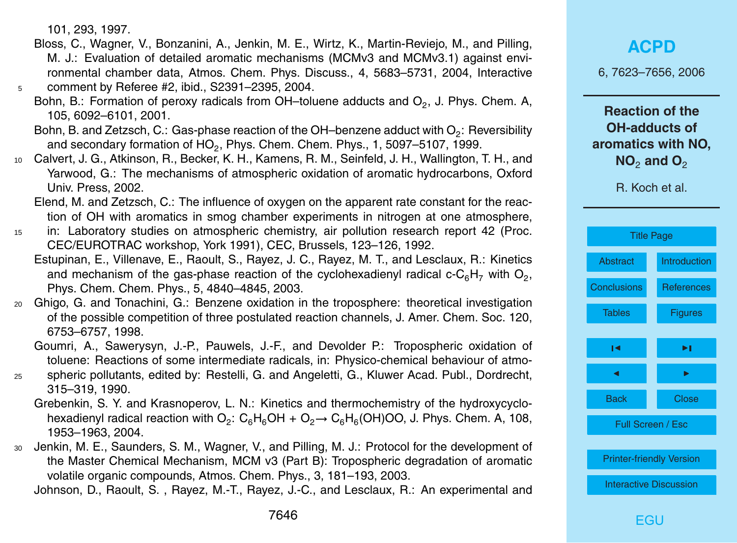101, 293, 1997.

- Bloss, C., Wagner, V., Bonzanini, A., Jenkin, M. E., Wirtz, K., Martin-Reviejo, M., and Pilling, M. J.: Evaluation of detailed aromatic mechanisms (MCMv3 and MCMv3.1) against environmental chamber data, Atmos. Chem. Phys. Discuss., 4, 5683–5731, 2004, Interactive <sup>5</sup> comment by Referee #2, ibid., S2391–2395, 2004.
	- Bohn, B.: Formation of peroxy radicals from OH-toluene adducts and  $O_2$ , J. Phys. Chem. A, 105, 6092–6101, 2001.
	- Bohn, B. and Zetzsch, C.: Gas-phase reaction of the OH–benzene adduct with O<sub>2</sub>: Reversibility and secondary formation of  $HO_2$ , Phys. Chem. Chem. Phys., 1, 5097–5107, 1999.
- <sup>10</sup> Calvert, J. G., Atkinson, R., Becker, K. H., Kamens, R. M., Seinfeld, J. H., Wallington, T. H., and Yarwood, G.: The mechanisms of atmospheric oxidation of aromatic hydrocarbons, Oxford Univ. Press, 2002.
	- Elend, M. and Zetzsch, C.: The influence of oxygen on the apparent rate constant for the reaction of OH with aromatics in smog chamber experiments in nitrogen at one atmosphere,
- <sup>15</sup> in: Laboratory studies on atmospheric chemistry, air pollution research report 42 (Proc. CEC/EUROTRAC workshop, York 1991), CEC, Brussels, 123–126, 1992.
	- Estupinan, E., Villenave, E., Raoult, S., Rayez, J. C., Rayez, M. T., and Lesclaux, R.: Kinetics and mechanism of the gas-phase reaction of the cyclohexadienyl radical c-C<sub>6</sub>H<sub>7</sub> with O<sub>2</sub>, Phys. Chem. Chem. Phys., 5, 4840–4845, 2003.
- <sup>20</sup> Ghigo, G. and Tonachini, G.: Benzene oxidation in the troposphere: theoretical investigation of the possible competition of three postulated reaction channels, J. Amer. Chem. Soc. 120, 6753–6757, 1998.
	- Goumri, A., Sawerysyn, J.-P., Pauwels, J.-F., and Devolder P.: Tropospheric oxidation of toluene: Reactions of some intermediate radicals, in: Physico-chemical behaviour of atmo-
- <sup>25</sup> spheric pollutants, edited by: Restelli, G. and Angeletti, G., Kluwer Acad. Publ., Dordrecht, 315–319, 1990.
	- Grebenkin, S. Y. and Krasnoperov, L. N.: Kinetics and thermochemistry of the hydroxycyclohexadienyl radical reaction with  $\mathsf{O}_2$ :  $\mathsf{C}_6\mathsf{H}_6\mathsf{OH} + \mathsf{O}_2{\rightarrow} \mathsf{C}_6\mathsf{H}_6(\mathsf{OH})\mathsf{OO}$ , J. Phys. Chem. A, 108, 1953–1963, 2004.
- <sup>30</sup> Jenkin, M. E., Saunders, S. M., Wagner, V., and Pilling, M. J.: Protocol for the development of the Master Chemical Mechanism, MCM v3 (Part B): Tropospheric degradation of aromatic volatile organic compounds, Atmos. Chem. Phys., 3, 181–193, 2003.

Johnson, D., Raoult, S. , Rayez, M.-T., Rayez, J.-C., and Lesclaux, R.: An experimental and

6, 7623–7656, 2006

**Reaction of the OH-adducts of aromatics with NO, NO<sub>2</sub> and O<sub>2</sub>** 

| <b>Title Page</b>               |                     |  |  |  |  |
|---------------------------------|---------------------|--|--|--|--|
| Abstract                        | <b>Introduction</b> |  |  |  |  |
| <b>Conclusions</b>              | <b>References</b>   |  |  |  |  |
| <b>Tables</b>                   | <b>Figures</b>      |  |  |  |  |
| м                               | ы                   |  |  |  |  |
|                                 |                     |  |  |  |  |
| <b>Back</b>                     | <b>Close</b>        |  |  |  |  |
|                                 | Full Screen / Esc   |  |  |  |  |
| <b>Printer-friendly Version</b> |                     |  |  |  |  |
| <b>Interactive Discussion</b>   |                     |  |  |  |  |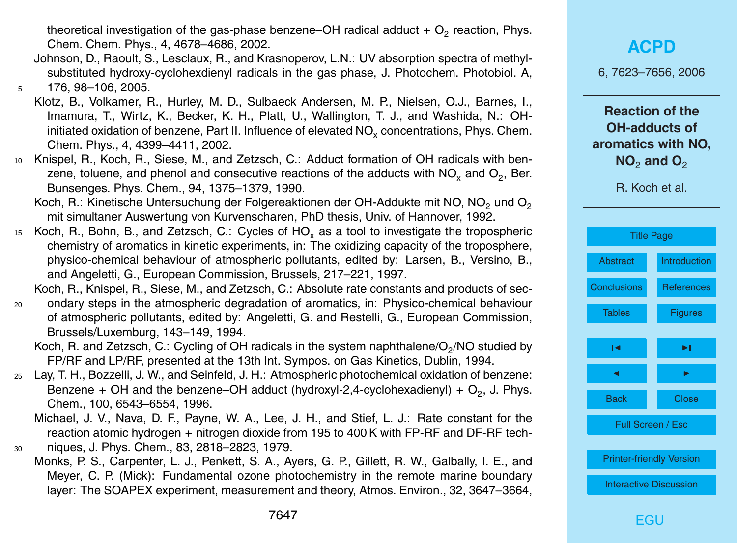theoretical investigation of the gas-phase benzene–OH radical adduct +  $\mathrm{O}_2$  reaction, Phys. Chem. Chem. Phys., 4, 4678–4686, 2002.

- Johnson, D., Raoult, S., Lesclaux, R., and Krasnoperov, L.N.: UV absorption spectra of methylsubstituted hydroxy-cyclohexdienyl radicals in the gas phase, J. Photochem. Photobiol. A, <sup>5</sup> 176, 98–106, 2005.
- Klotz, B., Volkamer, R., Hurley, M. D., Sulbaeck Andersen, M. P., Nielsen, O.J., Barnes, I., Imamura, T., Wirtz, K., Becker, K. H., Platt, U., Wallington, T. J., and Washida, N.: OHinitiated oxidation of benzene, Part II. Influence of elevated NO<sub>x</sub> concentrations, Phys. Chem. Chem. Phys., 4, 4399–4411, 2002.
- <sup>10</sup> Knispel, R., Koch, R., Siese, M., and Zetzsch, C.: Adduct formation of OH radicals with benzene, toluene, and phenol and consecutive reactions of the adducts with NO<sub>x</sub> and O<sub>2</sub>, Ber. Bunsenges. Phys. Chem., 94, 1375–1379, 1990.
	- Koch, R.: Kinetische Untersuchung der Folgereaktionen der OH-Addukte mit NO, NO<sub>2</sub> und O<sub>2</sub> mit simultaner Auswertung von Kurvenscharen, PhD thesis, Univ. of Hannover, 1992.
- 15 Koch, R., Bohn, B., and Zetzsch, C.: Cycles of HO<sub>y</sub> as a tool to investigate the tropospheric chemistry of aromatics in kinetic experiments, in: The oxidizing capacity of the troposphere, physico-chemical behaviour of atmospheric pollutants, edited by: Larsen, B., Versino, B., and Angeletti, G., European Commission, Brussels, 217–221, 1997.

Koch, R., Knispel, R., Siese, M., and Zetzsch, C.: Absolute rate constants and products of sec-

- <sup>20</sup> ondary steps in the atmospheric degradation of aromatics, in: Physico-chemical behaviour of atmospheric pollutants, edited by: Angeletti, G. and Restelli, G., European Commission, Brussels/Luxemburg, 143–149, 1994.
	- Koch, R. and Zetzsch, C.: Cycling of OH radicals in the system naphthalene/O<sub>2</sub>/NO studied by FP/RF and LP/RF, presented at the 13th Int. Sympos. on Gas Kinetics, Dublin, 1994.
- <sup>25</sup> Lay, T. H., Bozzelli, J. W., and Seinfeld, J. H.: Atmospheric photochemical oxidation of benzene: Benzene + OH and the benzene–OH adduct (hydroxyl-2,4-cyclohexadienyl) +  $O_2$ , J. Phys. Chem., 100, 6543–6554, 1996.
	- Michael, J. V., Nava, D. F., Payne, W. A., Lee, J. H., and Stief, L. J.: Rate constant for the reaction atomic hydrogen + nitrogen dioxide from 195 to 400 K with FP-RF and DF-RF tech-
- <sup>30</sup> niques, J. Phys. Chem., 83, 2818–2823, 1979.
	- Monks, P. S., Carpenter, L. J., Penkett, S. A., Ayers, G. P., Gillett, R. W., Galbally, I. E., and Meyer, C. P. (Mick): Fundamental ozone photochemistry in the remote marine boundary layer: The SOAPEX experiment, measurement and theory, Atmos. Environ., 32, 3647–3664,

6, 7623–7656, 2006

**Reaction of the OH-adducts of aromatics with NO, NO<sub>2</sub> and O<sub>2</sub>** 

|                                 | <b>Title Page</b>        |  |  |  |  |
|---------------------------------|--------------------------|--|--|--|--|
| <b>Abstract</b>                 | <b>Introduction</b>      |  |  |  |  |
| <b>Conclusions</b>              | <b>References</b>        |  |  |  |  |
| <b>Tables</b>                   | <b>Figures</b>           |  |  |  |  |
| ы                               | ы                        |  |  |  |  |
| ◢                               | ▶                        |  |  |  |  |
| <b>Back</b>                     | <b>Close</b>             |  |  |  |  |
|                                 | <b>Full Screen / Esc</b> |  |  |  |  |
| <b>Printer-friendly Version</b> |                          |  |  |  |  |
| <b>Interactive Discussion</b>   |                          |  |  |  |  |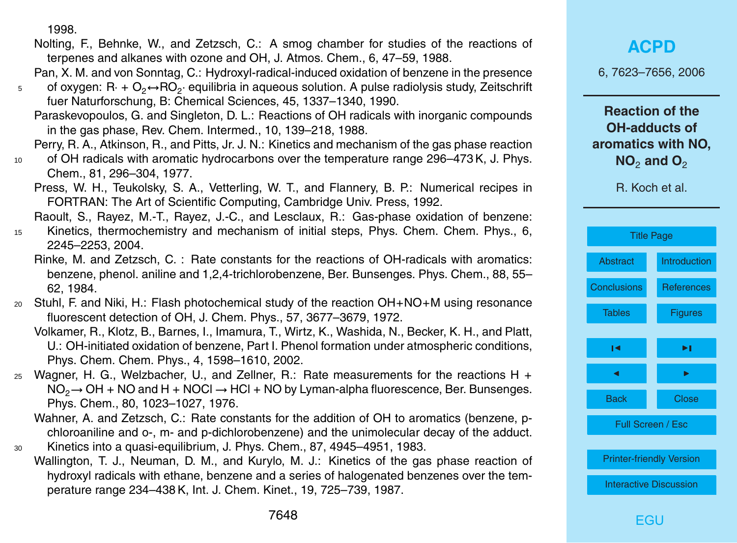1998.

- Nolting, F., Behnke, W., and Zetzsch, C.: A smog chamber for studies of the reactions of terpenes and alkanes with ozone and OH, J. Atmos. Chem., 6, 47–59, 1988.
- Pan, X. M. and von Sonntag, C.: Hydroxyl-radical-induced oxidation of benzene in the presence
- $_5$  of oxygen: R $\cdot$  + O<sub>2</sub>↔RO<sub>2</sub> $\cdot$  equilibria in aqueous solution. A pulse radiolysis study, Zeitschrift fuer Naturforschung, B: Chemical Sciences, 45, 1337–1340, 1990.
	- Paraskevopoulos, G. and Singleton, D. L.: Reactions of OH radicals with inorganic compounds in the gas phase, Rev. Chem. Intermed., 10, 139–218, 1988.
	- Perry, R. A., Atkinson, R., and Pitts, Jr. J. N.: Kinetics and mechanism of the gas phase reaction
- 10 of OH radicals with aromatic hydrocarbons over the temperature range 296–473 K, J. Phys. Chem., 81, 296–304, 1977.
	- Press, W. H., Teukolsky, S. A., Vetterling, W. T., and Flannery, B. P.: Numerical recipes in FORTRAN: The Art of Scientific Computing, Cambridge Univ. Press, 1992.
	- Raoult, S., Rayez, M.-T., Rayez, J.-C., and Lesclaux, R.: Gas-phase oxidation of benzene:
- <sup>15</sup> Kinetics, thermochemistry and mechanism of initial steps, Phys. Chem. Chem. Phys., 6, 2245–2253, 2004.
	- Rinke, M. and Zetzsch, C. : Rate constants for the reactions of OH-radicals with aromatics: benzene, phenol. aniline and 1,2,4-trichlorobenzene, Ber. Bunsenges. Phys. Chem., 88, 55– 62, 1984.
- $20$  Stuhl, F. and Niki, H.: Flash photochemical study of the reaction OH+NO+M using resonance fluorescent detection of OH, J. Chem. Phys., 57, 3677–3679, 1972.
	- Volkamer, R., Klotz, B., Barnes, I., Imamura, T., Wirtz, K., Washida, N., Becker, K. H., and Platt, U.: OH-initiated oxidation of benzene, Part I. Phenol formation under atmospheric conditions, Phys. Chem. Chem. Phys., 4, 1598–1610, 2002.
- $25$  Wagner, H. G., Welzbacher, U., and Zellner, R.: Rate measurements for the reactions H +  $NO<sub>2</sub> \rightarrow OH + NO$  and H + NOCl  $\rightarrow$  HCl + NO by Lyman-alpha fluorescence, Ber. Bunsenges. Phys. Chem., 80, 1023–1027, 1976.
- Wahner, A. and Zetzsch, C.: Rate constants for the addition of OH to aromatics (benzene, pchloroaniline and o-, m- and p-dichlorobenzene) and the unimolecular decay of the adduct. <sup>30</sup> Kinetics into a quasi-equilibrium, J. Phys. Chem., 87, 4945–4951, 1983.
	- Wallington, T. J., Neuman, D. M., and Kurylo, M. J.: Kinetics of the gas phase reaction of hydroxyl radicals with ethane, benzene and a series of halogenated benzenes over the temperature range 234–438 K, Int. J. Chem. Kinet., 19, 725–739, 1987.

6, 7623–7656, 2006

**Reaction of the OH-adducts of aromatics with NO, NO<sub>2</sub> and O<sub>2</sub>** 

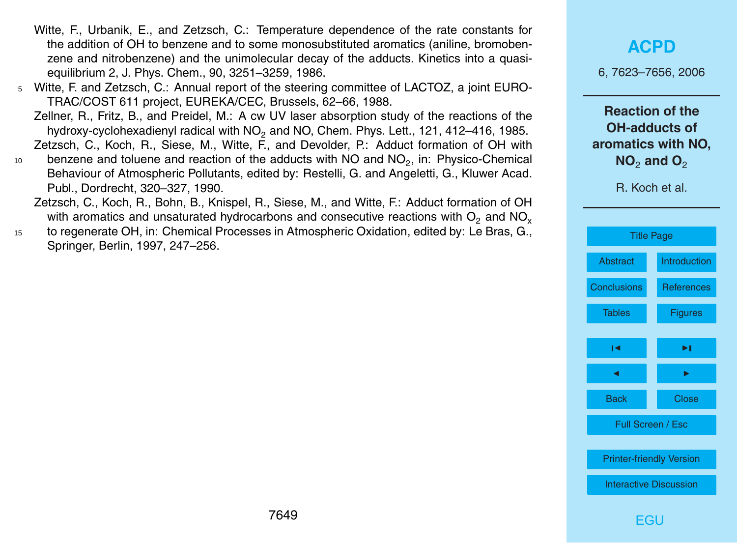- Witte, F., Urbanik, E., and Zetzsch, C.: Temperature dependence of the rate constants for the addition of OH to benzene and to some monosubstituted aromatics (aniline, bromobenzene and nitrobenzene) and the unimolecular decay of the adducts. Kinetics into a quasiequilibrium 2, J. Phys. Chem., 90, 3251–3259, 1986.
- <sup>5</sup> Witte, F. and Zetzsch, C.: Annual report of the steering committee of LACTOZ, a joint EURO-TRAC/COST 611 project, EUREKA/CEC, Brussels, 62–66, 1988.

Zellner, R., Fritz, B., and Preidel, M.: A cw UV laser absorption study of the reactions of the hydroxy-cyclohexadienyl radical with NO<sub>2</sub> and NO, Chem. Phys. Lett., 121, 412–416, 1985.

Zetzsch, C., Koch, R., Siese, M., Witte, F., and Devolder, P.: Adduct formation of OH with

- $_{10}$  benzene and toluene and reaction of the adducts with NO and NO<sub>2</sub>, in: Physico-Chemical Behaviour of Atmospheric Pollutants, edited by: Restelli, G. and Angeletti, G., Kluwer Acad. Publ., Dordrecht, 320–327, 1990.
	- Zetzsch, C., Koch, R., Bohn, B., Knispel, R., Siese, M., and Witte, F.: Adduct formation of OH with aromatics and unsaturated hydrocarbons and consecutive reactions with  $O<sub>2</sub>$  and NO<sub>x</sub>
- <sup>15</sup> to regenerate OH, in: Chemical Processes in Atmospheric Oxidation, edited by: Le Bras, G., Springer, Berlin, 1997, 247–256.

**[ACPD](http://www.atmos-chem-phys-discuss.net)**

6, 7623–7656, 2006

**Reaction of the OH-adducts of aromatics with NO, NO<sub>2</sub> and O<sub>2</sub>** 

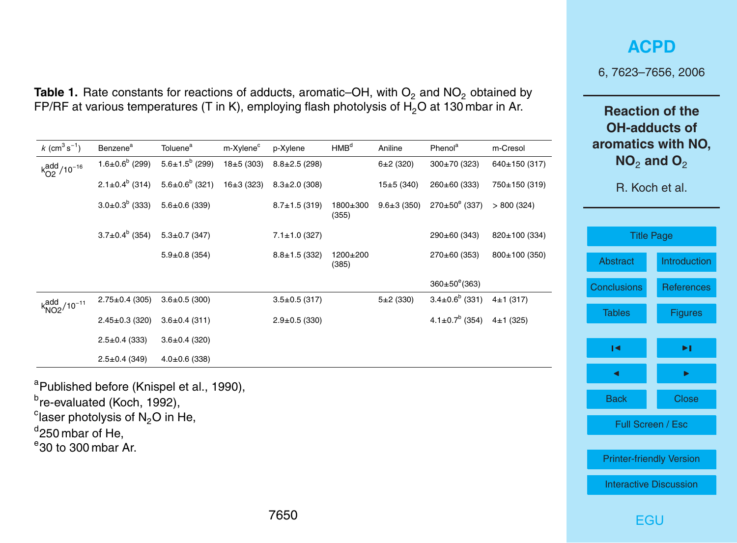| n <del>c</del> aullull ul llic<br><b>OH-adducts of</b><br>aromatics with NO,<br>NO <sub>2</sub> and O <sub>2</sub><br>R. Koch et al. |              |  |  |  |  |  |
|--------------------------------------------------------------------------------------------------------------------------------------|--------------|--|--|--|--|--|
| <b>Title Page</b>                                                                                                                    |              |  |  |  |  |  |
|                                                                                                                                      |              |  |  |  |  |  |
| Abstract                                                                                                                             | Introduction |  |  |  |  |  |
| Conclusions                                                                                                                          | References   |  |  |  |  |  |
| <b>Tables</b>                                                                                                                        | Figures      |  |  |  |  |  |
|                                                                                                                                      |              |  |  |  |  |  |
| ∣◀                                                                                                                                   | ы            |  |  |  |  |  |

J I

Back Close

Full Screen / Esc

[Printer-friendly Version](http://www.atmos-chem-phys-discuss.net/6/7623/2006/acpd-6-7623-2006-print.pdf)

[Interactive Discussion](http://www.atmos-chem-phys-discuss.net/6/7623/2006/acpd-6-7623-2006-discussion.html)

[EGU](http://www.copernicus.org/EGU/EGU.html)

**[ACPD](http://www.atmos-chem-phys-discuss.net)**

6, 7623–7656, 2006

**Reaction of the**

<span id="page-27-0"></span>**Table 1.** Rate constants for reactions of adducts, aromatic–OH, with  $O_2$  and  $NO_2$  obtained by FP/RF at various temperatures (T in K), employing flash photolysis of  $H_2O$  at 130 mbar in Ar.

| $k$ (cm <sup>3</sup> s <sup>-1</sup> ) | Benzene <sup>a</sup>        | Toluene <sup>a</sup>  | m-Xylene <sup>c</sup> | p-Xylene            | HMB <sup>d</sup>  | Aniline          | Phenol <sup>a</sup>        | m-Cresol      |
|----------------------------------------|-----------------------------|-----------------------|-----------------------|---------------------|-------------------|------------------|----------------------------|---------------|
| $k_{O2}^{\text{add}}/10^{-16}$         | $1.6 \pm 0.6^{\circ}$ (299) | $5.6 \pm 1.5^b$ (299) | $18+5(303)$           | $8.8 \pm 2.5$ (298) |                   | $6+2(320)$       | $300\pm70(323)$            | 640±150 (317) |
|                                        | $2.1 \pm 0.4^{\circ}$ (314) | $5.6 \pm 0.6^b$ (321) | $16+3(323)$           | $8.3 \pm 2.0$ (308) |                   | $15+5(340)$      | 260±60 (333)               | 750±150 (319) |
|                                        | $3.0 \pm 0.3^{b}$ (333)     | $5.6 \pm 0.6$ (339)   |                       | $8.7 \pm 1.5$ (319) | 1800±300<br>(355) | $9.6 \pm 3(350)$ | $270\pm50^{\circ}$ (337)   | > 800(324)    |
|                                        | $3.7 \pm 0.4^b$ (354)       | $5.3 \pm 0.7$ (347)   |                       | $7.1 \pm 1.0$ (327) |                   |                  | 290±60 (343)               | 820±100 (334) |
|                                        |                             | $5.9 \pm 0.8$ (354)   |                       | $8.8 \pm 1.5$ (332) | 1200±200<br>(385) |                  | $270\pm60(353)$            | 800±100 (350) |
|                                        |                             |                       |                       |                     |                   |                  | $360 \pm 50^{\circ}$ (363) |               |
| $k_{NO2}^{\text{add}} / 10^{-11}$      | $2.75 \pm 0.4$ (305)        | $3.6 \pm 0.5$ (300)   |                       | $3.5 \pm 0.5$ (317) |                   | $5+2(330)$       | $3.4 \pm 0.6^b$ (331)      | $4\pm1(317)$  |
|                                        | $2.45 \pm 0.3$ (320)        | $3.6 \pm 0.4$ (311)   |                       | $2.9 \pm 0.5$ (330) |                   |                  | $4.1 \pm 0.7^b$ (354)      | 4±1(325)      |
|                                        | $2.5 \pm 0.4$ (333)         | $3.6 \pm 0.4$ (320)   |                       |                     |                   |                  |                            |               |
|                                        | $2.5 \pm 0.4$ (349)         | $4.0 \pm 0.6$ (338)   |                       |                     |                   |                  |                            |               |
|                                        |                             |                       |                       |                     |                   |                  |                            |               |

<sup>a</sup>Published before (Knispel et al., 1990),

<sup>b</sup>re-evaluated (Koch, 1992),

 $\mathrm{c}$ laser photolysis of N<sub>2</sub>O in He,

<sup>d</sup>250 mbar of He,

 $\degree$ 30 to 300 mbar Ar.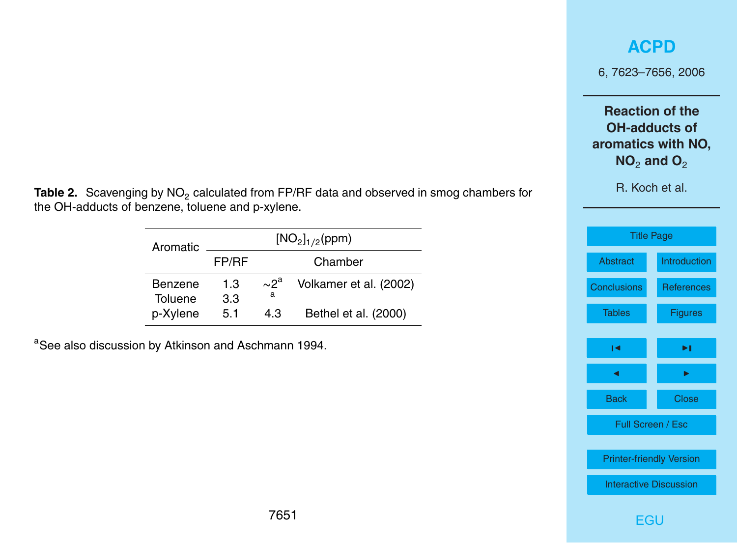### **[ACPD](http://www.atmos-chem-phys-discuss.net)**

6, 7623–7656, 2006

**Reaction of the OH-adducts of aromatics with NO,**  $NO<sub>2</sub>$  **and**  $O<sub>2</sub>$ 

R. Koch et al.

| <b>Title Page</b>               |                   |  |  |  |
|---------------------------------|-------------------|--|--|--|
| Abstract                        | Introduction      |  |  |  |
| <b>Conclusions</b>              | <b>References</b> |  |  |  |
| <b>Tables</b>                   | <b>Figures</b>    |  |  |  |
| ы                               | ы                 |  |  |  |
|                                 |                   |  |  |  |
| <b>Back</b>                     | <b>Close</b>      |  |  |  |
| Full Screen / Esc               |                   |  |  |  |
| <b>Printer-friendly Version</b> |                   |  |  |  |
| <b>Interactive Discussion</b>   |                   |  |  |  |

**Table 2.** Scavenging by NO<sub>2</sub> calculated from FP/RF data and observed in smog chambers for the OH-adducts of benzene, toluene and p-xylene.

| Aromatic           | [NO <sub>2</sub> ] <sub>1/2</sub> (ppm) |                          |                        |  |  |
|--------------------|-----------------------------------------|--------------------------|------------------------|--|--|
|                    | FP/RF                                   |                          | Chamber                |  |  |
| Benzene<br>Toluene | 1.3<br>3.3                              | $\sim$ 2 $^{\rm a}$<br>a | Volkamer et al. (2002) |  |  |
| p-Xylene           | 5.1                                     | 43                       | Bethel et al. (2000)   |  |  |

aSee also discussion by Atkinson and Aschmann 1994.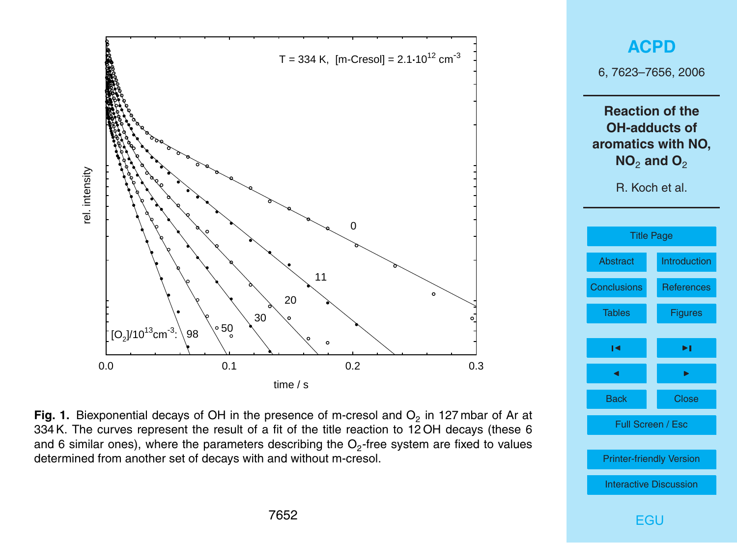<span id="page-29-0"></span>



Fig. 1. Biexponential decays of OH in the presence of m-cresol and  $O<sub>2</sub>$  in 127 mbar of Ar at The curves represent the result of a fit of the title reaction to 12 OH decays (these 6 and 6 similar contract of the title reaction to 12 OH decays (these 6 and 6 similar ones), where the parameters describing the  $O<sub>2</sub>$ -free system are fixed to values set of decays with and without m-cresol. determined from another set of decays with and without m-cresol.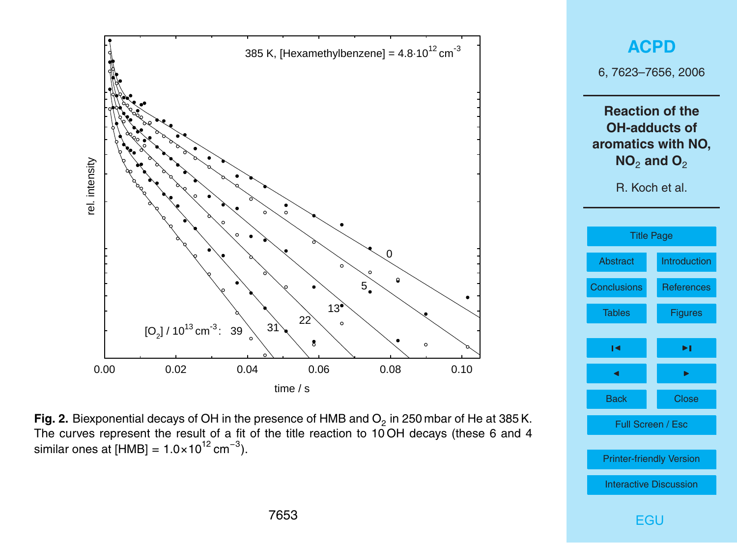



**Fig. 2.** Biexponential decays of OH in the presence of HMB and  $O<sub>2</sub>$  in 250 mbar of He at 385 K. The curves represent the result of a fit of the title reaction to 10 OH decays (these 6 and 4 similar ones at  $[HMB] = 1.0 \times 10^{12}$  cm<sup>-3</sup>).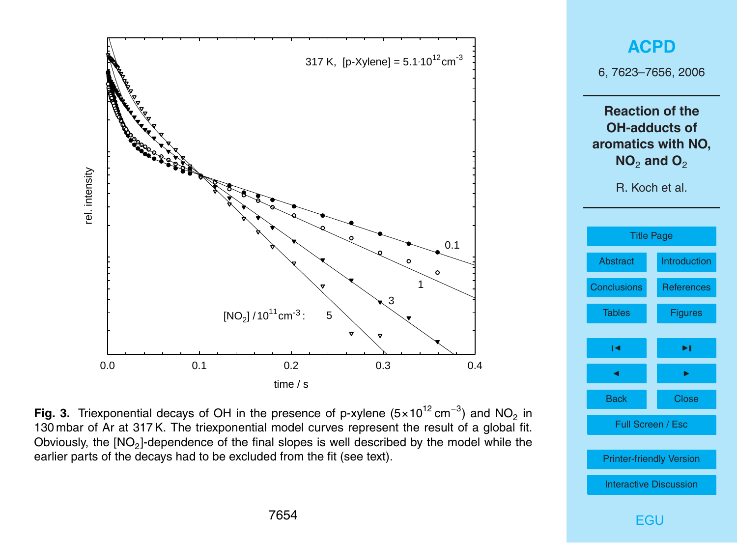



130 mbar of Ar at 317 K. The triexponential model curves represent the result of a global fit.<br>
∩ at a substitution in 130 mbar of the first planetic of the result of the result of the result of the line Obviously, the  $[NO<sub>2</sub>]$ -dependence of the final slopes is well described by the model while the earlier parts of the decays had to be excluded from the fit (see text). Fig. 3. Triexponential decays of OH in the presence of p-xylene (5×10<sup>12</sup> cm<sup>-3</sup>) and NO<sub>2</sub> in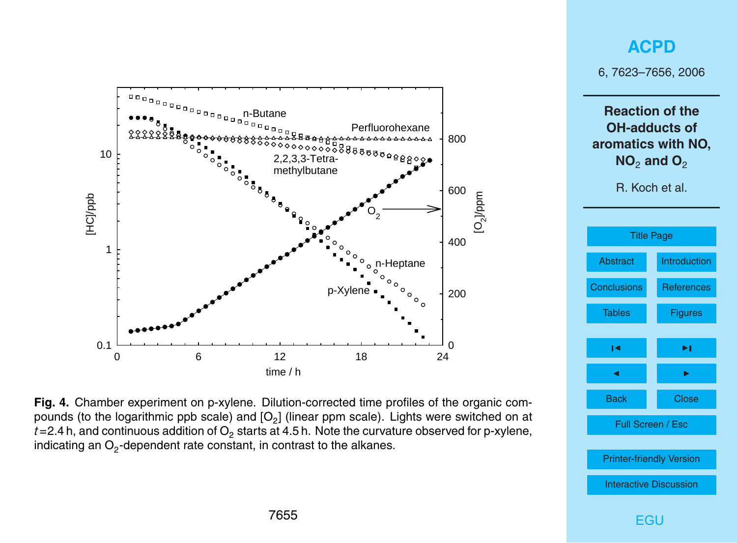

### **[ACPD](http://www.atmos-chem-phys-discuss.net)**

6, 7623–7656, 2006

**Reaction of the OH-adducts of aromatics with NO, NO<sub>2</sub> and O<sub>2</sub>** 

R. Koch et al.



pounds (to the logarithmic ppb scale) and  $[O_2]$  (linear ppm scale). Lights were switched on at  $t$ =2.4 h, and continuous addition of O<sub>2</sub> starts at 4.5 h. Note the curvature observed for p-xylene, indicating an O<sub>2</sub>-dependent rate constant, in contrast to the alkanes.  $\sim$   $\sim$  dependent rate constant, in contrast to the alkanes. **Fig. 4.** Chamber experiment on p-xylene. Dilution-corrected time profiles of the organic com-